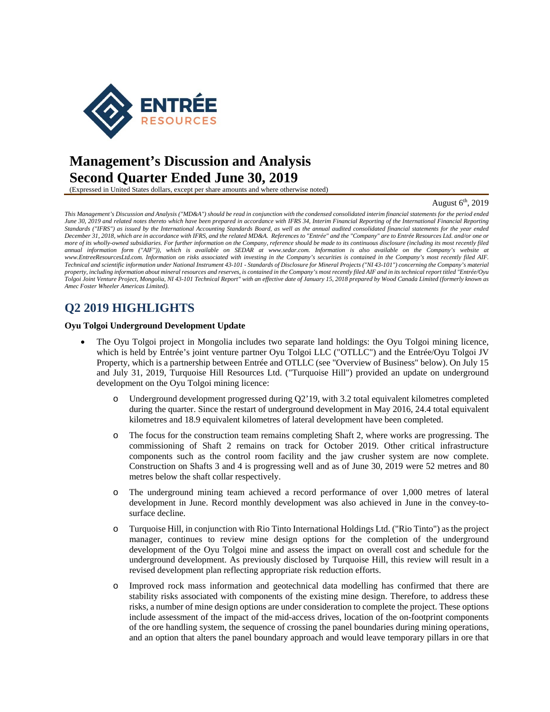

# **Management's Discussion and Analysis Second Quarter Ended June 30, 2019**

(Expressed in United States dollars, except per share amounts and where otherwise noted)

#### August  $6<sup>th</sup>$ , 2019

*This Management's Discussion and Analysis ("MD&A") should be read in conjunction with the condensed consolidated interim financial statements for the period ended June 30, 2019 and related notes thereto which have been prepared in accordance with IFRS 34, Interim Financial Reporting of the International Financial Reporting Standards ("IFRS") as issued by the International Accounting Standards Board, as well as the annual audited consolidated financial statements for the year ended December 31, 2018, which are in accordance with IFRS, and the related MD&A. References to "Entrée" and the "Company" are to Entrée Resources Ltd. and/or one or more of its wholly-owned subsidiaries. For further information on the Company, reference should be made to its continuous disclosure (including its most recently filed annual information form ("AIF")), which is available on SEDAR at www.sedar.com. Information is also available on the Company's website at www.EntreeResourcesLtd.com. Information on risks associated with investing in the Company's securities is contained in the Company's most recently filed AIF. Technical and scientific information under National Instrument 43-101 - Standards of Disclosure for Mineral Projects ("NI 43-101") concerning the Company's material property, including information about mineral resources and reserves, is contained in the Company's most recently filed AIF and in its technical report titled "Entrée/Oyu Tolgoi Joint Venture Project, Mongolia, NI 43-101 Technical Report" with an effective date of January 15, 2018 prepared by Wood Canada Limited (formerly known as Amec Foster Wheeler Americas Limited).* 

# **Q2 2019 HIGHLIGHTS**

### **Oyu Tolgoi Underground Development Update**

- The Oyu Tolgoi project in Mongolia includes two separate land holdings: the Oyu Tolgoi mining licence, which is held by Entrée's joint venture partner Oyu Tolgoi LLC ("OTLLC") and the Entrée/Oyu Tolgoi JV Property, which is a partnership between Entrée and OTLLC (see "Overview of Business" below). On July 15 and July 31, 2019, Turquoise Hill Resources Ltd. ("Turquoise Hill") provided an update on underground development on the Oyu Tolgoi mining licence:
	- o Underground development progressed during Q2'19, with 3.2 total equivalent kilometres completed during the quarter. Since the restart of underground development in May 2016, 24.4 total equivalent kilometres and 18.9 equivalent kilometres of lateral development have been completed.
	- o The focus for the construction team remains completing Shaft 2, where works are progressing. The commissioning of Shaft 2 remains on track for October 2019. Other critical infrastructure components such as the control room facility and the jaw crusher system are now complete. Construction on Shafts 3 and 4 is progressing well and as of June 30, 2019 were 52 metres and 80 metres below the shaft collar respectively.
	- o The underground mining team achieved a record performance of over 1,000 metres of lateral development in June. Record monthly development was also achieved in June in the convey-tosurface decline.
	- o Turquoise Hill, in conjunction with Rio Tinto International Holdings Ltd. ("Rio Tinto") as the project manager, continues to review mine design options for the completion of the underground development of the Oyu Tolgoi mine and assess the impact on overall cost and schedule for the underground development. As previously disclosed by Turquoise Hill, this review will result in a revised development plan reflecting appropriate risk reduction efforts.
	- o Improved rock mass information and geotechnical data modelling has confirmed that there are stability risks associated with components of the existing mine design. Therefore, to address these risks, a number of mine design options are under consideration to complete the project. These options include assessment of the impact of the mid-access drives, location of the on-footprint components of the ore handling system, the sequence of crossing the panel boundaries during mining operations, and an option that alters the panel boundary approach and would leave temporary pillars in ore that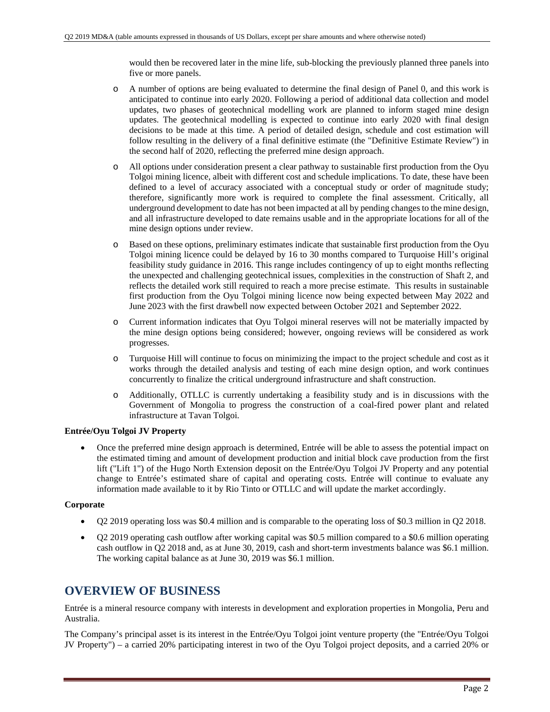would then be recovered later in the mine life, sub-blocking the previously planned three panels into five or more panels.

- o A number of options are being evaluated to determine the final design of Panel 0, and this work is anticipated to continue into early 2020. Following a period of additional data collection and model updates, two phases of geotechnical modelling work are planned to inform staged mine design updates. The geotechnical modelling is expected to continue into early 2020 with final design decisions to be made at this time. A period of detailed design, schedule and cost estimation will follow resulting in the delivery of a final definitive estimate (the "Definitive Estimate Review") in the second half of 2020, reflecting the preferred mine design approach.
- o All options under consideration present a clear pathway to sustainable first production from the Oyu Tolgoi mining licence, albeit with different cost and schedule implications. To date, these have been defined to a level of accuracy associated with a conceptual study or order of magnitude study; therefore, significantly more work is required to complete the final assessment. Critically, all underground development to date has not been impacted at all by pending changes to the mine design, and all infrastructure developed to date remains usable and in the appropriate locations for all of the mine design options under review.
- o Based on these options, preliminary estimates indicate that sustainable first production from the Oyu Tolgoi mining licence could be delayed by 16 to 30 months compared to Turquoise Hill's original feasibility study guidance in 2016. This range includes contingency of up to eight months reflecting the unexpected and challenging geotechnical issues, complexities in the construction of Shaft 2, and reflects the detailed work still required to reach a more precise estimate. This results in sustainable first production from the Oyu Tolgoi mining licence now being expected between May 2022 and June 2023 with the first drawbell now expected between October 2021 and September 2022.
- Current information indicates that Oyu Tolgoi mineral reserves will not be materially impacted by the mine design options being considered; however, ongoing reviews will be considered as work progresses.
- o Turquoise Hill will continue to focus on minimizing the impact to the project schedule and cost as it works through the detailed analysis and testing of each mine design option, and work continues concurrently to finalize the critical underground infrastructure and shaft construction.
- o Additionally, OTLLC is currently undertaking a feasibility study and is in discussions with the Government of Mongolia to progress the construction of a coal-fired power plant and related infrastructure at Tavan Tolgoi.

## **Entrée/Oyu Tolgoi JV Property**

 Once the preferred mine design approach is determined, Entrée will be able to assess the potential impact on the estimated timing and amount of development production and initial block cave production from the first lift ("Lift 1") of the Hugo North Extension deposit on the Entrée/Oyu Tolgoi JV Property and any potential change to Entrée's estimated share of capital and operating costs. Entrée will continue to evaluate any information made available to it by Rio Tinto or OTLLC and will update the market accordingly.

## **Corporate**

- Q2 2019 operating loss was \$0.4 million and is comparable to the operating loss of \$0.3 million in Q2 2018.
- Q2 2019 operating cash outflow after working capital was \$0.5 million compared to a \$0.6 million operating cash outflow in Q2 2018 and, as at June 30, 2019, cash and short-term investments balance was \$6.1 million. The working capital balance as at June 30, 2019 was \$6.1 million.

# **OVERVIEW OF BUSINESS**

Entrée is a mineral resource company with interests in development and exploration properties in Mongolia, Peru and Australia.

The Company's principal asset is its interest in the Entrée/Oyu Tolgoi joint venture property (the "Entrée/Oyu Tolgoi JV Property") – a carried 20% participating interest in two of the Oyu Tolgoi project deposits, and a carried 20% or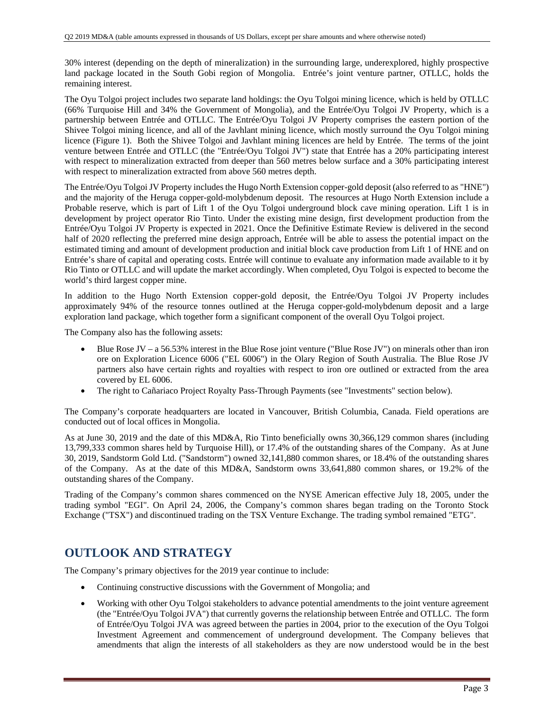30% interest (depending on the depth of mineralization) in the surrounding large, underexplored, highly prospective land package located in the South Gobi region of Mongolia. Entrée's joint venture partner, OTLLC, holds the remaining interest.

The Oyu Tolgoi project includes two separate land holdings: the Oyu Tolgoi mining licence, which is held by OTLLC (66% Turquoise Hill and 34% the Government of Mongolia), and the Entrée/Oyu Tolgoi JV Property, which is a partnership between Entrée and OTLLC. The Entrée/Oyu Tolgoi JV Property comprises the eastern portion of the Shivee Tolgoi mining licence, and all of the Javhlant mining licence, which mostly surround the Oyu Tolgoi mining licence (Figure 1). Both the Shivee Tolgoi and Javhlant mining licences are held by Entrée. The terms of the joint venture between Entrée and OTLLC (the "Entrée/Oyu Tolgoi JV") state that Entrée has a 20% participating interest with respect to mineralization extracted from deeper than 560 metres below surface and a 30% participating interest with respect to mineralization extracted from above 560 metres depth.

The Entrée/Oyu Tolgoi JV Property includes the Hugo North Extension copper-gold deposit (also referred to as "HNE") and the majority of the Heruga copper-gold-molybdenum deposit. The resources at Hugo North Extension include a Probable reserve, which is part of Lift 1 of the Oyu Tolgoi underground block cave mining operation. Lift 1 is in development by project operator Rio Tinto. Under the existing mine design, first development production from the Entrée/Oyu Tolgoi JV Property is expected in 2021. Once the Definitive Estimate Review is delivered in the second half of 2020 reflecting the preferred mine design approach, Entrée will be able to assess the potential impact on the estimated timing and amount of development production and initial block cave production from Lift 1 of HNE and on Entrée's share of capital and operating costs. Entrée will continue to evaluate any information made available to it by Rio Tinto or OTLLC and will update the market accordingly. When completed, Oyu Tolgoi is expected to become the world's third largest copper mine.

In addition to the Hugo North Extension copper-gold deposit, the Entrée/Oyu Tolgoi JV Property includes approximately 94% of the resource tonnes outlined at the Heruga copper-gold-molybdenum deposit and a large exploration land package, which together form a significant component of the overall Oyu Tolgoi project.

The Company also has the following assets:

- Blue Rose JV a 56.53% interest in the Blue Rose joint venture ("Blue Rose JV") on minerals other than iron ore on Exploration Licence 6006 ("EL 6006") in the Olary Region of South Australia. The Blue Rose JV partners also have certain rights and royalties with respect to iron ore outlined or extracted from the area covered by EL 6006.
- The right to Cañariaco Project Royalty Pass-Through Payments (see "Investments" section below).

The Company's corporate headquarters are located in Vancouver, British Columbia, Canada. Field operations are conducted out of local offices in Mongolia.

As at June 30, 2019 and the date of this MD&A, Rio Tinto beneficially owns 30,366,129 common shares (including 13,799,333 common shares held by Turquoise Hill), or 17.4% of the outstanding shares of the Company. As at June 30, 2019, Sandstorm Gold Ltd. ("Sandstorm") owned 32,141,880 common shares, or 18.4% of the outstanding shares of the Company. As at the date of this MD&A, Sandstorm owns 33,641,880 common shares, or 19.2% of the outstanding shares of the Company.

Trading of the Company's common shares commenced on the NYSE American effective July 18, 2005, under the trading symbol "EGI". On April 24, 2006, the Company's common shares began trading on the Toronto Stock Exchange ("TSX") and discontinued trading on the TSX Venture Exchange. The trading symbol remained "ETG".

# **OUTLOOK AND STRATEGY**

The Company's primary objectives for the 2019 year continue to include:

- Continuing constructive discussions with the Government of Mongolia; and
- Working with other Oyu Tolgoi stakeholders to advance potential amendments to the joint venture agreement (the "Entrée/Oyu Tolgoi JVA") that currently governs the relationship between Entrée and OTLLC. The form of Entrée/Oyu Tolgoi JVA was agreed between the parties in 2004, prior to the execution of the Oyu Tolgoi Investment Agreement and commencement of underground development. The Company believes that amendments that align the interests of all stakeholders as they are now understood would be in the best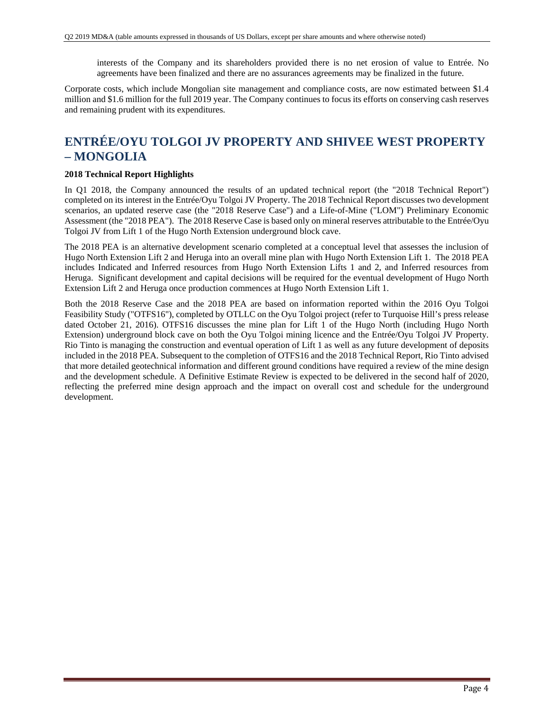interests of the Company and its shareholders provided there is no net erosion of value to Entrée. No agreements have been finalized and there are no assurances agreements may be finalized in the future.

Corporate costs, which include Mongolian site management and compliance costs, are now estimated between \$1.4 million and \$1.6 million for the full 2019 year. The Company continues to focus its efforts on conserving cash reserves and remaining prudent with its expenditures.

# **ENTRÉE/OYU TOLGOI JV PROPERTY AND SHIVEE WEST PROPERTY – MONGOLIA**

### **2018 Technical Report Highlights**

In Q1 2018, the Company announced the results of an updated technical report (the "2018 Technical Report") completed on its interest in the Entrée/Oyu Tolgoi JV Property. The 2018 Technical Report discusses two development scenarios, an updated reserve case (the "2018 Reserve Case") and a Life-of-Mine ("LOM") Preliminary Economic Assessment (the "2018 PEA"). The 2018 Reserve Case is based only on mineral reserves attributable to the Entrée/Oyu Tolgoi JV from Lift 1 of the Hugo North Extension underground block cave.

The 2018 PEA is an alternative development scenario completed at a conceptual level that assesses the inclusion of Hugo North Extension Lift 2 and Heruga into an overall mine plan with Hugo North Extension Lift 1. The 2018 PEA includes Indicated and Inferred resources from Hugo North Extension Lifts 1 and 2, and Inferred resources from Heruga. Significant development and capital decisions will be required for the eventual development of Hugo North Extension Lift 2 and Heruga once production commences at Hugo North Extension Lift 1.

Both the 2018 Reserve Case and the 2018 PEA are based on information reported within the 2016 Oyu Tolgoi Feasibility Study ("OTFS16"), completed by OTLLC on the Oyu Tolgoi project (refer to Turquoise Hill's press release dated October 21, 2016). OTFS16 discusses the mine plan for Lift 1 of the Hugo North (including Hugo North Extension) underground block cave on both the Oyu Tolgoi mining licence and the Entrée/Oyu Tolgoi JV Property. Rio Tinto is managing the construction and eventual operation of Lift 1 as well as any future development of deposits included in the 2018 PEA. Subsequent to the completion of OTFS16 and the 2018 Technical Report, Rio Tinto advised that more detailed geotechnical information and different ground conditions have required a review of the mine design and the development schedule. A Definitive Estimate Review is expected to be delivered in the second half of 2020, reflecting the preferred mine design approach and the impact on overall cost and schedule for the underground development.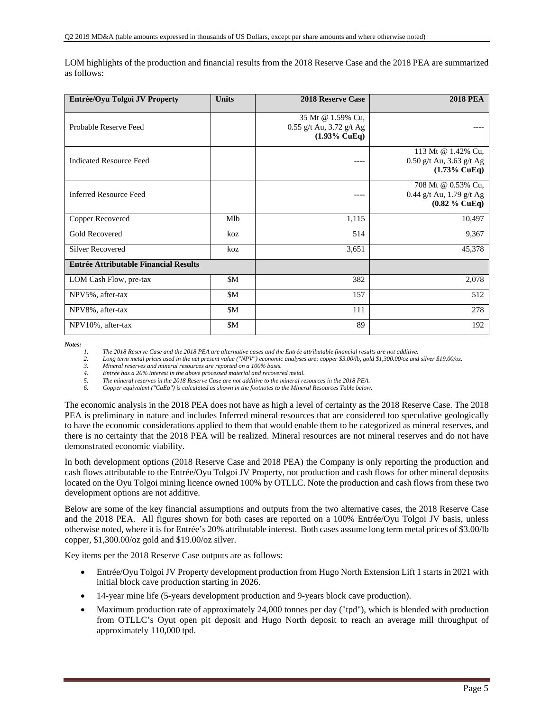LOM highlights of the production and financial results from the 2018 Reserve Case and the 2018 PEA are summarized as follows:

| Entrée/Oyu Tolgoi JV Property                | <b>Units</b> | <b>2018 Reserve Case</b>                                                   | <b>2018 PEA</b>                                                           |
|----------------------------------------------|--------------|----------------------------------------------------------------------------|---------------------------------------------------------------------------|
| Probable Reserve Feed                        |              | 35 Mt @ 1.59% Cu,<br>$0.55$ g/t Au, 3.72 g/t Ag<br>$(1.93\% \text{ CuEq})$ |                                                                           |
| <b>Indicated Resource Feed</b>               |              |                                                                            | 113 Mt @ 1.42% Cu,<br>0.50 g/t Au, 3.63 g/t Ag<br>$(1.73\% \text{ CuEq})$ |
| <b>Inferred Resource Feed</b>                |              | ----                                                                       | 708 Mt @ 0.53% Cu,<br>0.44 g/t Au, 1.79 g/t Ag<br>$(0.82 \%$ CuEq)        |
| Copper Recovered                             | Mlb          | 1,115                                                                      | 10,497                                                                    |
| <b>Gold Recovered</b>                        | koz          | 514                                                                        | 9,367                                                                     |
| <b>Silver Recovered</b>                      | koz          | 3,651                                                                      | 45,378                                                                    |
| <b>Entrée Attributable Financial Results</b> |              |                                                                            |                                                                           |
| LOM Cash Flow, pre-tax                       | \$Μ          | 382                                                                        | 2,078                                                                     |
| NPV5%, after-tax                             | <b>\$M</b>   | 157                                                                        | 512                                                                       |
| NPV8%, after-tax                             | <b>\$M</b>   | 111                                                                        | 278                                                                       |
| NPV10%, after-tax                            | \$M          | 89                                                                         | 192                                                                       |

*Notes:* 

*1. The 2018 Reserve Case and the 2018 PEA are alternative cases and the Entrée attributable financial results are not additive.* 

*2. Long term metal prices used in the net present value ("NPV") economic analyses are: copper \$3.00/lb, gold \$1,300.00/oz and silver \$19.00/oz.* 

*3. Mineral reserves and mineral resources are reported on a 100% basis.* 

*4. Entrée has a 20% interest in the above processed material and recovered metal.* 

*5. The mineral reserves in the 2018 Reserve Case are not additive to the mineral resources in the 2018 PEA.* 

*6. Copper equivalent ("CuEq") is calculated as shown in the footnotes to the Mineral Resources Table below.* 

The economic analysis in the 2018 PEA does not have as high a level of certainty as the 2018 Reserve Case. The 2018 PEA is preliminary in nature and includes Inferred mineral resources that are considered too speculative geologically to have the economic considerations applied to them that would enable them to be categorized as mineral reserves, and there is no certainty that the 2018 PEA will be realized. Mineral resources are not mineral reserves and do not have demonstrated economic viability.

In both development options (2018 Reserve Case and 2018 PEA) the Company is only reporting the production and cash flows attributable to the Entrée/Oyu Tolgoi JV Property, not production and cash flows for other mineral deposits located on the Oyu Tolgoi mining licence owned 100% by OTLLC. Note the production and cash flows from these two development options are not additive.

Below are some of the key financial assumptions and outputs from the two alternative cases, the 2018 Reserve Case and the 2018 PEA. All figures shown for both cases are reported on a 100% Entrée/Oyu Tolgoi JV basis, unless otherwise noted, where it is for Entrée's 20% attributable interest. Both cases assume long term metal prices of \$3.00/lb copper, \$1,300.00/oz gold and \$19.00/oz silver.

Key items per the 2018 Reserve Case outputs are as follows:

- Entrée/Oyu Tolgoi JV Property development production from Hugo North Extension Lift 1 starts in 2021 with initial block cave production starting in 2026.
- 14-year mine life (5-years development production and 9-years block cave production).
- Maximum production rate of approximately 24,000 tonnes per day ("tpd"), which is blended with production from OTLLC's Oyut open pit deposit and Hugo North deposit to reach an average mill throughput of approximately 110,000 tpd.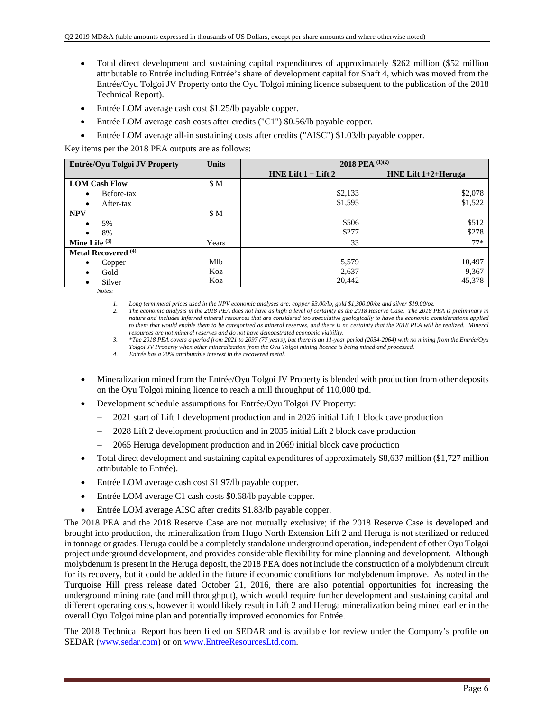- Total direct development and sustaining capital expenditures of approximately \$262 million (\$52 million attributable to Entrée including Entrée's share of development capital for Shaft 4, which was moved from the Entrée/Oyu Tolgoi JV Property onto the Oyu Tolgoi mining licence subsequent to the publication of the 2018 Technical Report).
- Entrée LOM average cash cost \$1.25/lb payable copper.
- Entrée LOM average cash costs after credits ("C1") \$0.56/lb payable copper.
- Entrée LOM average all-in sustaining costs after credits ("AISC") \$1.03/lb payable copper.

Key items per the 2018 PEA outputs are as follows:

| Entrée/Oyu Tolgoi JV Property  | <b>Units</b> |                         | 2018 PEA $(1)(2)$      |
|--------------------------------|--------------|-------------------------|------------------------|
|                                |              | HNE Lift $1 +$ Lift $2$ | HNE Lift $1+2+$ Heruga |
| <b>LOM Cash Flow</b>           | \$M          |                         |                        |
| Before-tax                     |              | \$2,133                 | \$2,078                |
| After-tax<br>٠                 |              | \$1,595                 | \$1,522                |
| <b>NPV</b>                     | \$M          |                         |                        |
| 5%                             |              | \$506                   | \$512                  |
| 8%<br>٠                        |              | \$277                   | \$278                  |
| Mine Life $(3)$                | Years        | 33                      | $77*$                  |
| Metal Recovered <sup>(4)</sup> |              |                         |                        |
| Copper                         | Mlb          | 5,579                   | 10,497                 |
| Gold<br>٠                      | Koz          | 2,637                   | 9,367                  |
| Silver                         | Koz          | 20,442                  | 45,378                 |

*Notes:* 

*1. Long term metal prices used in the NPV economic analyses are: copper \$3.00/lb, gold \$1,300.00/oz and silver \$19.00/oz.* 

*2. The economic analysis in the 2018 PEA does not have as high a level of certainty as the 2018 Reserve Case. The 2018 PEA is preliminary in nature and includes Inferred mineral resources that are considered too speculative geologically to have the economic considerations applied*  to them that would enable them to be categorized as mineral reserves, and there is no certainty that the 2018 PEA will be realized. Mineral *resources are not mineral reserves and do not have demonstrated economic viability.* 

- *3. \*The 2018 PEA covers a period from 2021 to 2097 (77 years), but there is an 11-year period (2054-2064) with no mining from the Entrée/Oyu Tolgoi JV Property when other mineralization from the Oyu Tolgoi mining licence is being mined and processed.*
- *4. Entrée has a 20% attributable interest in the recovered metal.*
- Mineralization mined from the Entrée/Oyu Tolgoi JV Property is blended with production from other deposits on the Oyu Tolgoi mining licence to reach a mill throughput of 110,000 tpd.
- Development schedule assumptions for Entrée/Oyu Tolgoi JV Property:
	- 2021 start of Lift 1 development production and in 2026 initial Lift 1 block cave production
	- 2028 Lift 2 development production and in 2035 initial Lift 2 block cave production
	- 2065 Heruga development production and in 2069 initial block cave production
- Total direct development and sustaining capital expenditures of approximately \$8,637 million (\$1,727 million attributable to Entrée).
- Entrée LOM average cash cost \$1.97/lb payable copper.
- Entrée LOM average C1 cash costs \$0.68/lb payable copper.
- Entrée LOM average AISC after credits \$1.83/lb payable copper.

The 2018 PEA and the 2018 Reserve Case are not mutually exclusive; if the 2018 Reserve Case is developed and brought into production, the mineralization from Hugo North Extension Lift 2 and Heruga is not sterilized or reduced in tonnage or grades. Heruga could be a completely standalone underground operation, independent of other Oyu Tolgoi project underground development, and provides considerable flexibility for mine planning and development. Although molybdenum is present in the Heruga deposit, the 2018 PEA does not include the construction of a molybdenum circuit for its recovery, but it could be added in the future if economic conditions for molybdenum improve. As noted in the Turquoise Hill press release dated October 21, 2016, there are also potential opportunities for increasing the underground mining rate (and mill throughput), which would require further development and sustaining capital and different operating costs, however it would likely result in Lift 2 and Heruga mineralization being mined earlier in the overall Oyu Tolgoi mine plan and potentially improved economics for Entrée.

The 2018 Technical Report has been filed on SEDAR and is available for review under the Company's profile on SEDAR (www.sedar.com) or on www.EntreeResourcesLtd.com.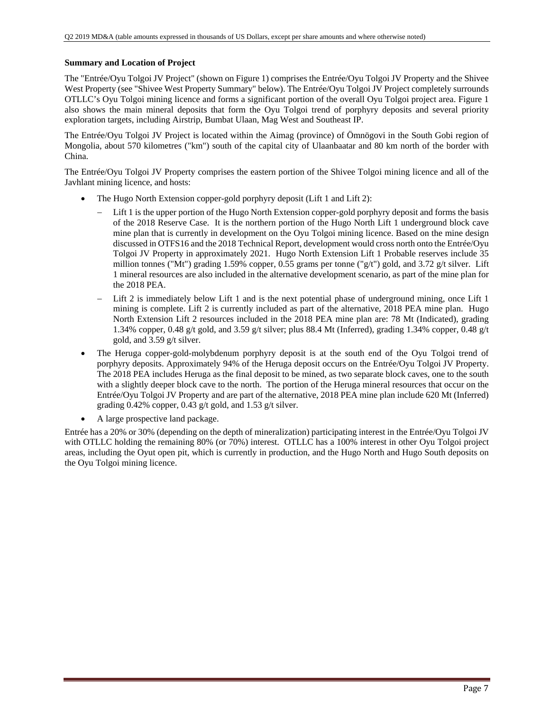### **Summary and Location of Project**

The "Entrée/Oyu Tolgoi JV Project" (shown on Figure 1) comprises the Entrée/Oyu Tolgoi JV Property and the Shivee West Property (see "Shivee West Property Summary" below). The Entrée/Oyu Tolgoi JV Project completely surrounds OTLLC's Oyu Tolgoi mining licence and forms a significant portion of the overall Oyu Tolgoi project area. Figure 1 also shows the main mineral deposits that form the Oyu Tolgoi trend of porphyry deposits and several priority exploration targets, including Airstrip, Bumbat Ulaan, Mag West and Southeast IP.

The Entrée/Oyu Tolgoi JV Project is located within the Aimag (province) of Ömnögovi in the South Gobi region of Mongolia, about 570 kilometres ("km") south of the capital city of Ulaanbaatar and 80 km north of the border with China.

The Entrée/Oyu Tolgoi JV Property comprises the eastern portion of the Shivee Tolgoi mining licence and all of the Javhlant mining licence, and hosts:

- The Hugo North Extension copper-gold porphyry deposit (Lift 1 and Lift 2):
	- Lift 1 is the upper portion of the Hugo North Extension copper-gold porphyry deposit and forms the basis of the 2018 Reserve Case. It is the northern portion of the Hugo North Lift 1 underground block cave mine plan that is currently in development on the Oyu Tolgoi mining licence. Based on the mine design discussed in OTFS16 and the 2018 Technical Report, development would cross north onto the Entrée/Oyu Tolgoi JV Property in approximately 2021. Hugo North Extension Lift 1 Probable reserves include 35 million tonnes ("Mt") grading 1.59% copper, 0.55 grams per tonne (" $g/t$ ") gold, and 3.72 g/t silver. Lift 1 mineral resources are also included in the alternative development scenario, as part of the mine plan for the 2018 PEA.
	- Lift 2 is immediately below Lift 1 and is the next potential phase of underground mining, once Lift 1 mining is complete. Lift 2 is currently included as part of the alternative, 2018 PEA mine plan. Hugo North Extension Lift 2 resources included in the 2018 PEA mine plan are: 78 Mt (Indicated), grading 1.34% copper, 0.48 g/t gold, and 3.59 g/t silver; plus 88.4 Mt (Inferred), grading 1.34% copper, 0.48 g/t gold, and 3.59 g/t silver.
- The Heruga copper-gold-molybdenum porphyry deposit is at the south end of the Oyu Tolgoi trend of porphyry deposits. Approximately 94% of the Heruga deposit occurs on the Entrée/Oyu Tolgoi JV Property. The 2018 PEA includes Heruga as the final deposit to be mined, as two separate block caves, one to the south with a slightly deeper block cave to the north. The portion of the Heruga mineral resources that occur on the Entrée/Oyu Tolgoi JV Property and are part of the alternative, 2018 PEA mine plan include 620 Mt (Inferred) grading 0.42% copper, 0.43 g/t gold, and 1.53 g/t silver.
- A large prospective land package.

Entrée has a 20% or 30% (depending on the depth of mineralization) participating interest in the Entrée/Oyu Tolgoi JV with OTLLC holding the remaining 80% (or 70%) interest. OTLLC has a 100% interest in other Oyu Tolgoi project areas, including the Oyut open pit, which is currently in production, and the Hugo North and Hugo South deposits on the Oyu Tolgoi mining licence.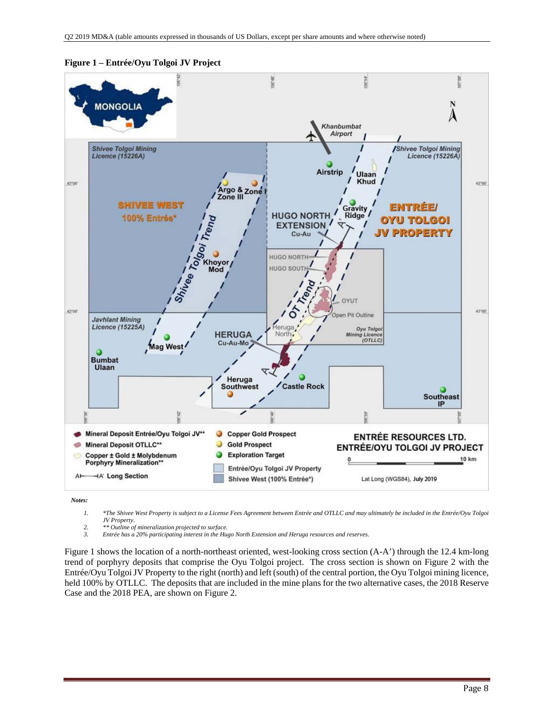

**Figure 1 – Entrée/Oyu Tolgoi JV Project** 

*Notes:* 

- *1. \*The Shivee West Property is subject to a License Fees Agreement between Entrée and OTLLC and may ultimately be included in the Entrée/Oyu Tolgoi JV Property.*
- *2. \*\* Outline of mineralization projected to surface.*
- *3. Entrée has a 20% participating interest in the Hugo North Extension and Heruga resources and reserves.*

Figure 1 shows the location of a north-northeast oriented, west-looking cross section (A-A') through the 12.4 km-long trend of porphyry deposits that comprise the Oyu Tolgoi project. The cross section is shown on Figure 2 with the Entrée/Oyu Tolgoi JV Property to the right (north) and left (south) of the central portion, the Oyu Tolgoi mining licence, held 100% by OTLLC. The deposits that are included in the mine plans for the two alternative cases, the 2018 Reserve Case and the 2018 PEA, are shown on Figure 2.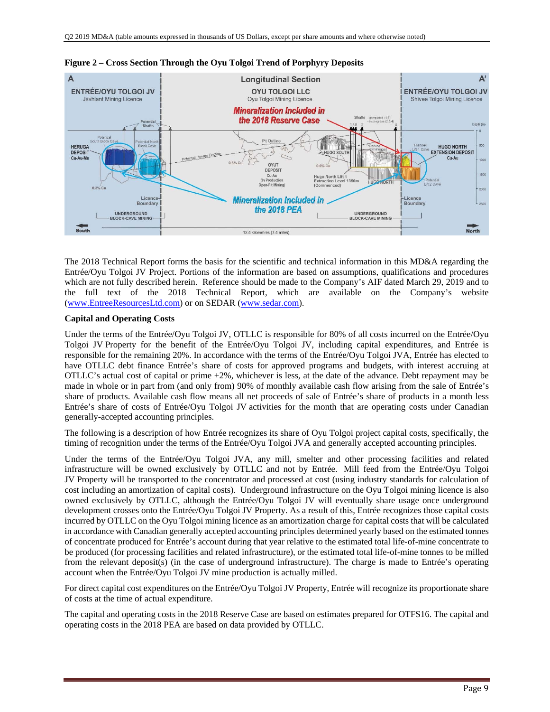

**Figure 2 – Cross Section Through the Oyu Tolgoi Trend of Porphyry Deposits** 

The 2018 Technical Report forms the basis for the scientific and technical information in this MD&A regarding the Entrée/Oyu Tolgoi JV Project. Portions of the information are based on assumptions, qualifications and procedures which are not fully described herein. Reference should be made to the Company's AIF dated March 29, 2019 and to the full text of the 2018 Technical Report, which are available on the Company's website (www.EntreeResourcesLtd.com) or on SEDAR (www.sedar.com).

## **Capital and Operating Costs**

Under the terms of the Entrée/Oyu Tolgoi JV, OTLLC is responsible for 80% of all costs incurred on the Entrée/Oyu Tolgoi JV Property for the benefit of the Entrée/Oyu Tolgoi JV, including capital expenditures, and Entrée is responsible for the remaining 20%. In accordance with the terms of the Entrée/Oyu Tolgoi JVA, Entrée has elected to have OTLLC debt finance Entrée's share of costs for approved programs and budgets, with interest accruing at OTLLC's actual cost of capital or prime +2%, whichever is less, at the date of the advance. Debt repayment may be made in whole or in part from (and only from) 90% of monthly available cash flow arising from the sale of Entrée's share of products. Available cash flow means all net proceeds of sale of Entrée's share of products in a month less Entrée's share of costs of Entrée/Oyu Tolgoi JV activities for the month that are operating costs under Canadian generally-accepted accounting principles.

The following is a description of how Entrée recognizes its share of Oyu Tolgoi project capital costs, specifically, the timing of recognition under the terms of the Entrée/Oyu Tolgoi JVA and generally accepted accounting principles.

Under the terms of the Entrée/Oyu Tolgoi JVA, any mill, smelter and other processing facilities and related infrastructure will be owned exclusively by OTLLC and not by Entrée. Mill feed from the Entrée/Oyu Tolgoi JV Property will be transported to the concentrator and processed at cost (using industry standards for calculation of cost including an amortization of capital costs). Underground infrastructure on the Oyu Tolgoi mining licence is also owned exclusively by OTLLC, although the Entrée/Oyu Tolgoi JV will eventually share usage once underground development crosses onto the Entrée/Oyu Tolgoi JV Property. As a result of this, Entrée recognizes those capital costs incurred by OTLLC on the Oyu Tolgoi mining licence as an amortization charge for capital costs that will be calculated in accordance with Canadian generally accepted accounting principles determined yearly based on the estimated tonnes of concentrate produced for Entrée's account during that year relative to the estimated total life-of-mine concentrate to be produced (for processing facilities and related infrastructure), or the estimated total life-of-mine tonnes to be milled from the relevant deposit(s) (in the case of underground infrastructure). The charge is made to Entrée's operating account when the Entrée/Oyu Tolgoi JV mine production is actually milled.

For direct capital cost expenditures on the Entrée/Oyu Tolgoi JV Property, Entrée will recognize its proportionate share of costs at the time of actual expenditure.

The capital and operating costs in the 2018 Reserve Case are based on estimates prepared for OTFS16. The capital and operating costs in the 2018 PEA are based on data provided by OTLLC.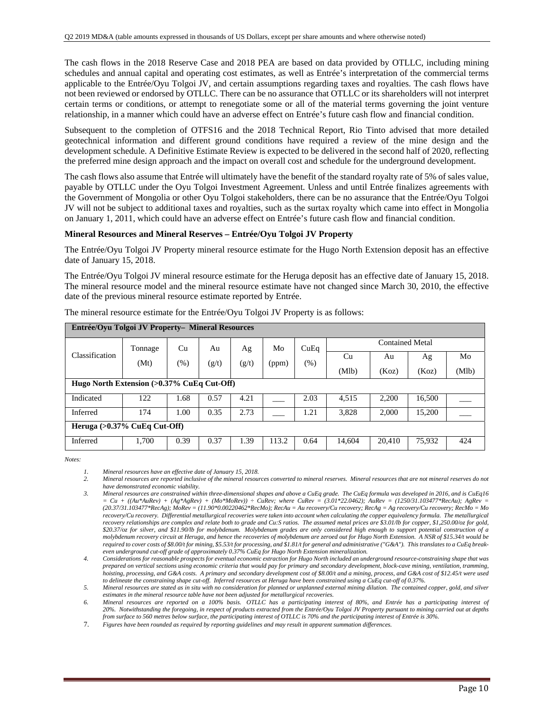The cash flows in the 2018 Reserve Case and 2018 PEA are based on data provided by OTLLC, including mining schedules and annual capital and operating cost estimates, as well as Entrée's interpretation of the commercial terms applicable to the Entrée/Oyu Tolgoi JV, and certain assumptions regarding taxes and royalties. The cash flows have not been reviewed or endorsed by OTLLC. There can be no assurance that OTLLC or its shareholders will not interpret certain terms or conditions, or attempt to renegotiate some or all of the material terms governing the joint venture relationship, in a manner which could have an adverse effect on Entrée's future cash flow and financial condition.

Subsequent to the completion of OTFS16 and the 2018 Technical Report, Rio Tinto advised that more detailed geotechnical information and different ground conditions have required a review of the mine design and the development schedule. A Definitive Estimate Review is expected to be delivered in the second half of 2020, reflecting the preferred mine design approach and the impact on overall cost and schedule for the underground development.

The cash flows also assume that Entrée will ultimately have the benefit of the standard royalty rate of 5% of sales value, payable by OTLLC under the Oyu Tolgoi Investment Agreement. Unless and until Entrée finalizes agreements with the Government of Mongolia or other Oyu Tolgoi stakeholders, there can be no assurance that the Entrée/Oyu Tolgoi JV will not be subject to additional taxes and royalties, such as the surtax royalty which came into effect in Mongolia on January 1, 2011, which could have an adverse effect on Entrée's future cash flow and financial condition.

### **Mineral Resources and Mineral Reserves – Entrée/Oyu Tolgoi JV Property**

The Entrée/Oyu Tolgoi JV Property mineral resource estimate for the Hugo North Extension deposit has an effective date of January 15, 2018.

The Entrée/Oyu Tolgoi JV mineral resource estimate for the Heruga deposit has an effective date of January 15, 2018. The mineral resource model and the mineral resource estimate have not changed since March 30, 2010, the effective date of the previous mineral resource estimate reported by Entrée.

| Entrée/Oyu Tolgoi JV Property- Mineral Resources |                                 |      |       |       |       |        |                        |        |        |       |  |  |
|--------------------------------------------------|---------------------------------|------|-------|-------|-------|--------|------------------------|--------|--------|-------|--|--|
|                                                  | Tonnage                         | Cu   | Au    | Ag    | Mo    | CuEq   | <b>Contained Metal</b> |        |        |       |  |  |
| Classification                                   | (Mt)                            | (%)  | (g/t) | (g/t) | (ppm) | $(\%)$ | Cu                     | Au     | Ag     | Mo    |  |  |
|                                                  |                                 |      |       |       |       |        | (Mlb)                  | (Koz)  | (Koz)  | (Mlb) |  |  |
| Hugo North Extension $(>0.37\%$ CuEq Cut-Off)    |                                 |      |       |       |       |        |                        |        |        |       |  |  |
| Indicated                                        | 122                             | 1.68 | 0.57  | 4.21  |       | 2.03   | 4.515                  | 2,200  | 16,500 |       |  |  |
| Inferred                                         | 174                             | 1.00 | 0.35  | 2.73  |       | 1.21   | 3,828                  | 2,000  | 15,200 |       |  |  |
|                                                  | Heruga $(>0.37\%$ CuEq Cut-Off) |      |       |       |       |        |                        |        |        |       |  |  |
| Inferred                                         | 1,700                           | 0.39 | 0.37  | 1.39  | 113.2 | 0.64   | 14,604                 | 20.410 | 75,932 | 424   |  |  |

The mineral resource estimate for the Entrée/Oyu Tolgoi JV Property is as follows:

*Notes:* 

*<sup>1.</sup> Mineral resources have an effective date of January 15, 2018.* 

*<sup>2.</sup> Mineral resources are reported inclusive of the mineral resources converted to mineral reserves. Mineral resources that are not mineral reserves do not have demonstrated economic viability.* 

*<sup>3.</sup> Mineral resources are constrained within three-dimensional shapes and above a CuEq grade. The CuEq formula was developed in 2016, and is CuEq16*   $= Cu + ((Au*AuRev) + (Ag*AgRev) + (Mo*MoRev)) \div CuRev;$  where CuRev = (3.01\*22.0462); AuRev = (1250/31.103477\*RecAu); AgRev = *(20.37/31.103477\*RecAg); MoRev = (11.90\*0.00220462\*RecMo); RecAu = Au recovery/Cu recovery; RecAg = Ag recovery/Cu recovery; RecMo = Mo*  recovery/Cu recovery. Differential metallurgical recoveries were taken into account when calculating the copper equivalency formula. The metallurgical *recovery relationships are complex and relate both to grade and Cu:S ratios. The assumed metal prices are \$3.01/lb for copper, \$1,250.00/oz for gold, \$20.37/oz for silver, and \$11.90/lb for molybdenum. Molybdenum grades are only considered high enough to support potential construction of a molybdenum recovery circuit at Heruga, and hence the recoveries of molybdenum are zeroed out for Hugo North Extension. A NSR of \$15.34/t would be required to cover costs of \$8.00/t for mining, \$5.53/t for processing, and \$1.81/t for general and administrative ("G&A"). This translates to a CuEq breakeven underground cut-off grade of approximately 0.37% CuEq for Hugo North Extension mineralization.* 

*<sup>4.</sup> Considerations for reasonable prospects for eventual economic extraction for Hugo North included an underground resource-constraining shape that was prepared on vertical sections using economic criteria that would pay for primary and secondary development, block-cave mining, ventilation, tramming, hoisting, processing, and G&A costs. A primary and secondary development cost of \$8.00/t and a mining, process, and G&A cost of \$12.45/t were used to delineate the constraining shape cut-off. Inferred resources at Heruga have been constrained using a CuEq cut-off of 0.37%.*

*<sup>5.</sup> Mineral resources are stated as in situ with no consideration for planned or unplanned external mining dilution. The contained copper, gold, and silver estimates in the mineral resource table have not been adjusted for metallurgical recoveries.* 

*<sup>6.</sup> Mineral resources are reported on a 100% basis. OTLLC has a participating interest of 80%, and Entrée has a participating interest of 20%. Notwithstanding the foregoing, in respect of products extracted from the Entrée/Oyu Tolgoi JV Property pursuant to mining carried out at depths from surface to 560 metres below surface, the participating interest of OTLLC is 70% and the participating interest of Entrée is 30%.* 

<sup>7.</sup> *Figures have been rounded as required by reporting guidelines and may result in apparent summation differences.*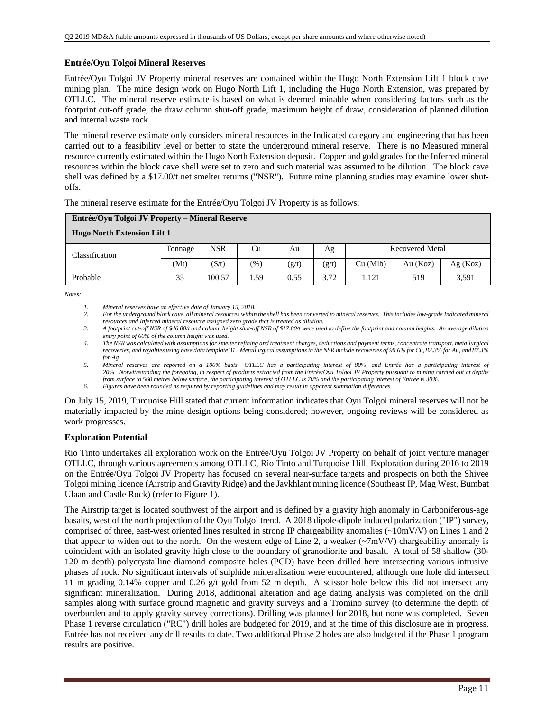## **Entrée/Oyu Tolgoi Mineral Reserves**

Entrée/Oyu Tolgoi JV Property mineral reserves are contained within the Hugo North Extension Lift 1 block cave mining plan. The mine design work on Hugo North Lift 1, including the Hugo North Extension, was prepared by OTLLC. The mineral reserve estimate is based on what is deemed minable when considering factors such as the footprint cut-off grade, the draw column shut-off grade, maximum height of draw, consideration of planned dilution and internal waste rock.

The mineral reserve estimate only considers mineral resources in the Indicated category and engineering that has been carried out to a feasibility level or better to state the underground mineral reserve. There is no Measured mineral resource currently estimated within the Hugo North Extension deposit. Copper and gold grades for the Inferred mineral resources within the block cave shell were set to zero and such material was assumed to be dilution. The block cave shell was defined by a \$17.00/t net smelter returns ("NSR"). Future mine planning studies may examine lower shutoffs.

| Entrée/Oyu Tolgoi JV Property – Mineral Reserve |         |                 |               |       |       |                        |            |          |  |  |  |
|-------------------------------------------------|---------|-----------------|---------------|-------|-------|------------------------|------------|----------|--|--|--|
| <b>Hugo North Extension Lift 1</b>              |         |                 |               |       |       |                        |            |          |  |  |  |
| Classification                                  | Tonnage | <b>NSR</b>      | Cu            | Au    | Ag    | <b>Recovered Metal</b> |            |          |  |  |  |
|                                                 | (Mt)    | $(\frac{f}{f})$ | $\frac{9}{6}$ | (g/t) | (g/t) | Cu (Mlb)               | Au $(Koz)$ | Ag (Koz) |  |  |  |
| Probable                                        | 35      | 100.57          | . .59         | 0.55  | 3.72  | 1.121                  | 519        | 3,591    |  |  |  |

The mineral reserve estimate for the Entrée/Oyu Tolgoi JV Property is as follows:

*Notes:* 

*2. For the underground block cave, all mineral resources within the shell has been converted to mineral reserves. This includes low-grade Indicated mineral resources and Inferred mineral resource assigned zero grade that is treated as dilution.* 

*3. A footprint cut-off NSR of \$46.00/t and column height shut-off NSR of \$17.00/t were used to define the footprint and column heights. An average dilution entry point of 60% of the column height was used.* 

*4. The NSR was calculated with assumptions for smelter refining and treatment charges, deductions and payment terms, concentrate transport, metallurgical recoveries, and royalties using base data template 31. Metallurgical assumptions in the NSR include recoveries of 90.6% for Cu, 82.3% for Au, and 87.3% for Ag.* 

*5. Mineral reserves are reported on a 100% basis. OTLLC has a participating interest of 80%, and Entrée has a participating interest of 20%. Notwithstanding the foregoing, in respect of products extracted from the Entrée/Oyu Tolgoi JV Property pursuant to mining carried out at depths from surface to 560 metres below surface, the participating interest of OTLLC is 70% and the participating interest of Entrée is 30%.* 

*6. Figures have been rounded as required by reporting guidelines and may result in apparent summation differences.* 

On July 15, 2019, Turquoise Hill stated that current information indicates that Oyu Tolgoi mineral reserves will not be materially impacted by the mine design options being considered; however, ongoing reviews will be considered as work progresses.

## **Exploration Potential**

Rio Tinto undertakes all exploration work on the Entrée/Oyu Tolgoi JV Property on behalf of joint venture manager OTLLC, through various agreements among OTLLC, Rio Tinto and Turquoise Hill. Exploration during 2016 to 2019 on the Entrée/Oyu Tolgoi JV Property has focused on several near-surface targets and prospects on both the Shivee Tolgoi mining licence (Airstrip and Gravity Ridge) and the Javkhlant mining licence (Southeast IP, Mag West, Bumbat Ulaan and Castle Rock) (refer to Figure 1).

The Airstrip target is located southwest of the airport and is defined by a gravity high anomaly in Carboniferous-age basalts, west of the north projection of the Oyu Tolgoi trend. A 2018 dipole-dipole induced polarization ("IP") survey, comprised of three, east-west oriented lines resulted in strong IP chargeability anomalies (~10mV/V) on Lines 1 and 2 that appear to widen out to the north. On the western edge of Line 2, a weaker  $(\sim 7 \text{mV/V})$  chargeability anomaly is coincident with an isolated gravity high close to the boundary of granodiorite and basalt. A total of 58 shallow (30- 120 m depth) polycrystalline diamond composite holes (PCD) have been drilled here intersecting various intrusive phases of rock. No significant intervals of sulphide mineralization were encountered, although one hole did intersect 11 m grading 0.14% copper and 0.26 g/t gold from 52 m depth. A scissor hole below this did not intersect any significant mineralization. During 2018, additional alteration and age dating analysis was completed on the drill samples along with surface ground magnetic and gravity surveys and a Tromino survey (to determine the depth of overburden and to apply gravity survey corrections). Drilling was planned for 2018, but none was completed. Seven Phase 1 reverse circulation ("RC") drill holes are budgeted for 2019, and at the time of this disclosure are in progress. Entrée has not received any drill results to date. Two additional Phase 2 holes are also budgeted if the Phase 1 program results are positive.

*<sup>1.</sup> Mineral reserves have an effective date of January 15, 2018.*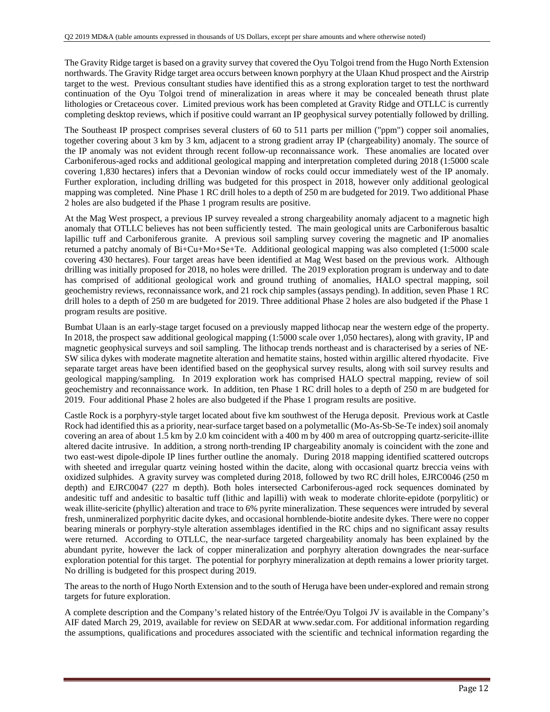The Gravity Ridge target is based on a gravity survey that covered the Oyu Tolgoi trend from the Hugo North Extension northwards. The Gravity Ridge target area occurs between known porphyry at the Ulaan Khud prospect and the Airstrip target to the west. Previous consultant studies have identified this as a strong exploration target to test the northward continuation of the Oyu Tolgoi trend of mineralization in areas where it may be concealed beneath thrust plate lithologies or Cretaceous cover. Limited previous work has been completed at Gravity Ridge and OTLLC is currently completing desktop reviews, which if positive could warrant an IP geophysical survey potentially followed by drilling.

The Southeast IP prospect comprises several clusters of 60 to 511 parts per million ("ppm") copper soil anomalies, together covering about 3 km by 3 km, adjacent to a strong gradient array IP (chargeability) anomaly. The source of the IP anomaly was not evident through recent follow-up reconnaissance work. These anomalies are located over Carboniferous-aged rocks and additional geological mapping and interpretation completed during 2018 (1:5000 scale covering 1,830 hectares) infers that a Devonian window of rocks could occur immediately west of the IP anomaly. Further exploration, including drilling was budgeted for this prospect in 2018, however only additional geological mapping was completed. Nine Phase 1 RC drill holes to a depth of 250 m are budgeted for 2019. Two additional Phase 2 holes are also budgeted if the Phase 1 program results are positive.

At the Mag West prospect, a previous IP survey revealed a strong chargeability anomaly adjacent to a magnetic high anomaly that OTLLC believes has not been sufficiently tested. The main geological units are Carboniferous basaltic lapillic tuff and Carboniferous granite. A previous soil sampling survey covering the magnetic and IP anomalies returned a patchy anomaly of Bi+Cu+Mo+Se+Te. Additional geological mapping was also completed (1:5000 scale covering 430 hectares). Four target areas have been identified at Mag West based on the previous work. Although drilling was initially proposed for 2018, no holes were drilled. The 2019 exploration program is underway and to date has comprised of additional geological work and ground truthing of anomalies, HALO spectral mapping, soil geochemistry reviews, reconnaissance work, and 21 rock chip samples (assays pending). In addition, seven Phase 1 RC drill holes to a depth of 250 m are budgeted for 2019. Three additional Phase 2 holes are also budgeted if the Phase 1 program results are positive.

Bumbat Ulaan is an early-stage target focused on a previously mapped lithocap near the western edge of the property. In 2018, the prospect saw additional geological mapping (1:5000 scale over 1,050 hectares), along with gravity, IP and magnetic geophysical surveys and soil sampling. The lithocap trends northeast and is characterised by a series of NE‐ SW silica dykes with moderate magnetite alteration and hematite stains, hosted within argillic altered rhyodacite. Five separate target areas have been identified based on the geophysical survey results, along with soil survey results and geological mapping/sampling. In 2019 exploration work has comprised HALO spectral mapping, review of soil geochemistry and reconnaissance work. In addition, ten Phase 1 RC drill holes to a depth of 250 m are budgeted for 2019. Four additional Phase 2 holes are also budgeted if the Phase 1 program results are positive.

Castle Rock is a porphyry-style target located about five km southwest of the Heruga deposit. Previous work at Castle Rock had identified this as a priority, near-surface target based on a polymetallic (Mo-As-Sb-Se-Te index) soil anomaly covering an area of about 1.5 km by 2.0 km coincident with a 400 m by 400 m area of outcropping quartz-sericite-illite altered dacite intrusive. In addition, a strong north-trending IP chargeability anomaly is coincident with the zone and two east-west dipole-dipole IP lines further outline the anomaly. During 2018 mapping identified scattered outcrops with sheeted and irregular quartz veining hosted within the dacite, along with occasional quartz breccia veins with oxidized sulphides. A gravity survey was completed during 2018, followed by two RC drill holes, EJRC0046 (250 m depth) and EJRC0047 (227 m depth). Both holes intersected Carboniferous-aged rock sequences dominated by andesitic tuff and andesitic to basaltic tuff (lithic and lapilli) with weak to moderate chlorite-epidote (porpylitic) or weak illite-sericite (phyllic) alteration and trace to 6% pyrite mineralization. These sequences were intruded by several fresh, unmineralized porphyritic dacite dykes, and occasional hornblende-biotite andesite dykes. There were no copper bearing minerals or porphyry-style alteration assemblages identified in the RC chips and no significant assay results were returned. According to OTLLC, the near-surface targeted chargeability anomaly has been explained by the abundant pyrite, however the lack of copper mineralization and porphyry alteration downgrades the near-surface exploration potential for this target. The potential for porphyry mineralization at depth remains a lower priority target. No drilling is budgeted for this prospect during 2019.

The areas to the north of Hugo North Extension and to the south of Heruga have been under-explored and remain strong targets for future exploration.

A complete description and the Company's related history of the Entrée/Oyu Tolgoi JV is available in the Company's AIF dated March 29, 2019, available for review on SEDAR at www.sedar.com. For additional information regarding the assumptions, qualifications and procedures associated with the scientific and technical information regarding the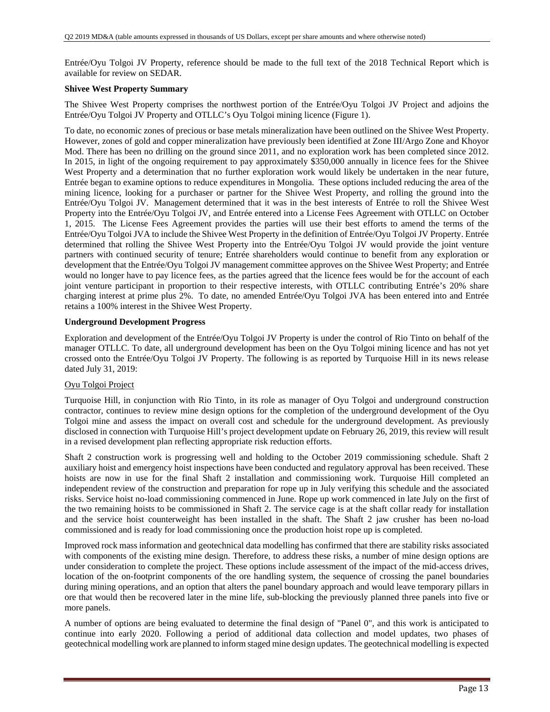Entrée/Oyu Tolgoi JV Property, reference should be made to the full text of the 2018 Technical Report which is available for review on SEDAR.

### **Shivee West Property Summary**

The Shivee West Property comprises the northwest portion of the Entrée/Oyu Tolgoi JV Project and adjoins the Entrée/Oyu Tolgoi JV Property and OTLLC's Oyu Tolgoi mining licence (Figure 1).

To date, no economic zones of precious or base metals mineralization have been outlined on the Shivee West Property. However, zones of gold and copper mineralization have previously been identified at Zone III/Argo Zone and Khoyor Mod. There has been no drilling on the ground since 2011, and no exploration work has been completed since 2012. In 2015, in light of the ongoing requirement to pay approximately \$350,000 annually in licence fees for the Shivee West Property and a determination that no further exploration work would likely be undertaken in the near future, Entrée began to examine options to reduce expenditures in Mongolia. These options included reducing the area of the mining licence, looking for a purchaser or partner for the Shivee West Property, and rolling the ground into the Entrée/Oyu Tolgoi JV. Management determined that it was in the best interests of Entrée to roll the Shivee West Property into the Entrée/Oyu Tolgoi JV, and Entrée entered into a License Fees Agreement with OTLLC on October 1, 2015. The License Fees Agreement provides the parties will use their best efforts to amend the terms of the Entrée/Oyu Tolgoi JVA to include the Shivee West Property in the definition of Entrée/Oyu Tolgoi JV Property. Entrée determined that rolling the Shivee West Property into the Entrée/Oyu Tolgoi JV would provide the joint venture partners with continued security of tenure; Entrée shareholders would continue to benefit from any exploration or development that the Entrée/Oyu Tolgoi JV management committee approves on the Shivee West Property; and Entrée would no longer have to pay licence fees, as the parties agreed that the licence fees would be for the account of each joint venture participant in proportion to their respective interests, with OTLLC contributing Entrée's 20% share charging interest at prime plus 2%. To date, no amended Entrée/Oyu Tolgoi JVA has been entered into and Entrée retains a 100% interest in the Shivee West Property.

### **Underground Development Progress**

Exploration and development of the Entrée/Oyu Tolgoi JV Property is under the control of Rio Tinto on behalf of the manager OTLLC. To date, all underground development has been on the Oyu Tolgoi mining licence and has not yet crossed onto the Entrée/Oyu Tolgoi JV Property. The following is as reported by Turquoise Hill in its news release dated July 31, 2019:

## Oyu Tolgoi Project

Turquoise Hill, in conjunction with Rio Tinto, in its role as manager of Oyu Tolgoi and underground construction contractor, continues to review mine design options for the completion of the underground development of the Oyu Tolgoi mine and assess the impact on overall cost and schedule for the underground development. As previously disclosed in connection with Turquoise Hill's project development update on February 26, 2019, this review will result in a revised development plan reflecting appropriate risk reduction efforts.

Shaft 2 construction work is progressing well and holding to the October 2019 commissioning schedule. Shaft 2 auxiliary hoist and emergency hoist inspections have been conducted and regulatory approval has been received. These hoists are now in use for the final Shaft 2 installation and commissioning work. Turquoise Hill completed an independent review of the construction and preparation for rope up in July verifying this schedule and the associated risks. Service hoist no-load commissioning commenced in June. Rope up work commenced in late July on the first of the two remaining hoists to be commissioned in Shaft 2. The service cage is at the shaft collar ready for installation and the service hoist counterweight has been installed in the shaft. The Shaft 2 jaw crusher has been no-load commissioned and is ready for load commissioning once the production hoist rope up is completed.

Improved rock mass information and geotechnical data modelling has confirmed that there are stability risks associated with components of the existing mine design. Therefore, to address these risks, a number of mine design options are under consideration to complete the project. These options include assessment of the impact of the mid-access drives, location of the on-footprint components of the ore handling system, the sequence of crossing the panel boundaries during mining operations, and an option that alters the panel boundary approach and would leave temporary pillars in ore that would then be recovered later in the mine life, sub-blocking the previously planned three panels into five or more panels.

A number of options are being evaluated to determine the final design of "Panel 0", and this work is anticipated to continue into early 2020. Following a period of additional data collection and model updates, two phases of geotechnical modelling work are planned to inform staged mine design updates. The geotechnical modelling is expected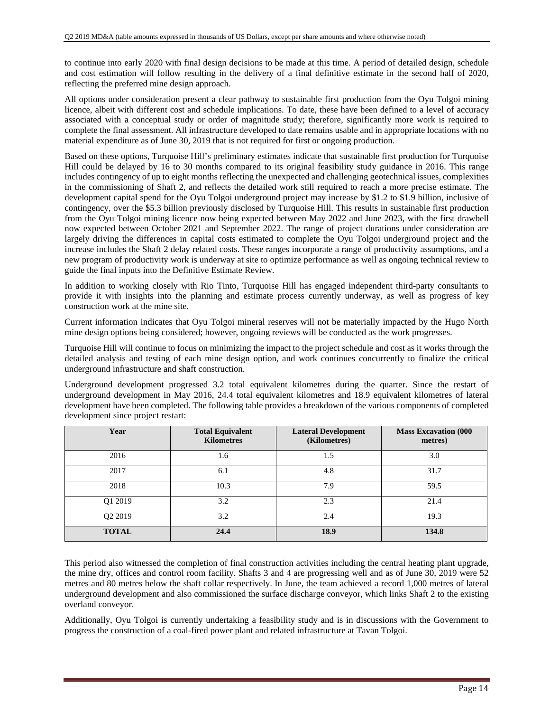to continue into early 2020 with final design decisions to be made at this time. A period of detailed design, schedule and cost estimation will follow resulting in the delivery of a final definitive estimate in the second half of 2020, reflecting the preferred mine design approach.

All options under consideration present a clear pathway to sustainable first production from the Oyu Tolgoi mining licence, albeit with different cost and schedule implications. To date, these have been defined to a level of accuracy associated with a conceptual study or order of magnitude study; therefore, significantly more work is required to complete the final assessment. All infrastructure developed to date remains usable and in appropriate locations with no material expenditure as of June 30, 2019 that is not required for first or ongoing production.

Based on these options, Turquoise Hill's preliminary estimates indicate that sustainable first production for Turquoise Hill could be delayed by 16 to 30 months compared to its original feasibility study guidance in 2016. This range includes contingency of up to eight months reflecting the unexpected and challenging geotechnical issues, complexities in the commissioning of Shaft 2, and reflects the detailed work still required to reach a more precise estimate. The development capital spend for the Oyu Tolgoi underground project may increase by \$1.2 to \$1.9 billion, inclusive of contingency, over the \$5.3 billion previously disclosed by Turquoise Hill. This results in sustainable first production from the Oyu Tolgoi mining licence now being expected between May 2022 and June 2023, with the first drawbell now expected between October 2021 and September 2022. The range of project durations under consideration are largely driving the differences in capital costs estimated to complete the Oyu Tolgoi underground project and the increase includes the Shaft 2 delay related costs. These ranges incorporate a range of productivity assumptions, and a new program of productivity work is underway at site to optimize performance as well as ongoing technical review to guide the final inputs into the Definitive Estimate Review.

In addition to working closely with Rio Tinto, Turquoise Hill has engaged independent third-party consultants to provide it with insights into the planning and estimate process currently underway, as well as progress of key construction work at the mine site.

Current information indicates that Oyu Tolgoi mineral reserves will not be materially impacted by the Hugo North mine design options being considered; however, ongoing reviews will be conducted as the work progresses.

Turquoise Hill will continue to focus on minimizing the impact to the project schedule and cost as it works through the detailed analysis and testing of each mine design option, and work continues concurrently to finalize the critical underground infrastructure and shaft construction.

Underground development progressed 3.2 total equivalent kilometres during the quarter. Since the restart of underground development in May 2016, 24.4 total equivalent kilometres and 18.9 equivalent kilometres of lateral development have been completed. The following table provides a breakdown of the various components of completed development since project restart:

| Year                | <b>Total Equivalent</b><br><b>Kilometres</b> | <b>Lateral Development</b><br>(Kilometres) | <b>Mass Excavation (000</b><br>metres) |
|---------------------|----------------------------------------------|--------------------------------------------|----------------------------------------|
| 2016                | 1.6                                          | 1.5                                        | 3.0                                    |
| 2017                | 6.1                                          | 4.8                                        | 31.7                                   |
| 2018                | 10.3                                         | 7.9                                        | 59.5                                   |
| Q1 2019             | 3.2                                          | 2.3                                        | 21.4                                   |
| Q <sub>2</sub> 2019 | 3.2                                          | 2.4                                        | 19.3                                   |
| <b>TOTAL</b>        | 24.4                                         | 18.9                                       | 134.8                                  |

This period also witnessed the completion of final construction activities including the central heating plant upgrade, the mine dry, offices and control room facility. Shafts 3 and 4 are progressing well and as of June 30, 2019 were 52 metres and 80 metres below the shaft collar respectively. In June, the team achieved a record 1,000 metres of lateral underground development and also commissioned the surface discharge conveyor, which links Shaft 2 to the existing overland conveyor.

Additionally, Oyu Tolgoi is currently undertaking a feasibility study and is in discussions with the Government to progress the construction of a coal-fired power plant and related infrastructure at Tavan Tolgoi.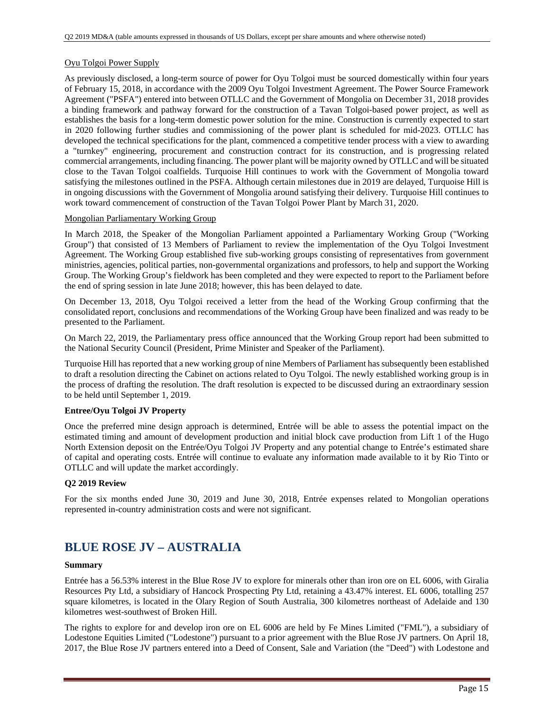## Oyu Tolgoi Power Supply

As previously disclosed, a long-term source of power for Oyu Tolgoi must be sourced domestically within four years of February 15, 2018, in accordance with the 2009 Oyu Tolgoi Investment Agreement. The Power Source Framework Agreement ("PSFA") entered into between OTLLC and the Government of Mongolia on December 31, 2018 provides a binding framework and pathway forward for the construction of a Tavan Tolgoi-based power project, as well as establishes the basis for a long-term domestic power solution for the mine. Construction is currently expected to start in 2020 following further studies and commissioning of the power plant is scheduled for mid-2023. OTLLC has developed the technical specifications for the plant, commenced a competitive tender process with a view to awarding a "turnkey" engineering, procurement and construction contract for its construction, and is progressing related commercial arrangements, including financing. The power plant will be majority owned by OTLLC and will be situated close to the Tavan Tolgoi coalfields. Turquoise Hill continues to work with the Government of Mongolia toward satisfying the milestones outlined in the PSFA. Although certain milestones due in 2019 are delayed, Turquoise Hill is in ongoing discussions with the Government of Mongolia around satisfying their delivery. Turquoise Hill continues to work toward commencement of construction of the Tavan Tolgoi Power Plant by March 31, 2020.

### Mongolian Parliamentary Working Group

In March 2018, the Speaker of the Mongolian Parliament appointed a Parliamentary Working Group ("Working Group") that consisted of 13 Members of Parliament to review the implementation of the Oyu Tolgoi Investment Agreement. The Working Group established five sub-working groups consisting of representatives from government ministries, agencies, political parties, non-governmental organizations and professors, to help and support the Working Group. The Working Group's fieldwork has been completed and they were expected to report to the Parliament before the end of spring session in late June 2018; however, this has been delayed to date.

On December 13, 2018, Oyu Tolgoi received a letter from the head of the Working Group confirming that the consolidated report, conclusions and recommendations of the Working Group have been finalized and was ready to be presented to the Parliament.

On March 22, 2019, the Parliamentary press office announced that the Working Group report had been submitted to the National Security Council (President, Prime Minister and Speaker of the Parliament).

Turquoise Hill has reported that a new working group of nine Members of Parliament has subsequently been established to draft a resolution directing the Cabinet on actions related to Oyu Tolgoi. The newly established working group is in the process of drafting the resolution. The draft resolution is expected to be discussed during an extraordinary session to be held until September 1, 2019.

## **Entree/Oyu Tolgoi JV Property**

Once the preferred mine design approach is determined, Entrée will be able to assess the potential impact on the estimated timing and amount of development production and initial block cave production from Lift 1 of the Hugo North Extension deposit on the Entrée/Oyu Tolgoi JV Property and any potential change to Entrée's estimated share of capital and operating costs. Entrée will continue to evaluate any information made available to it by Rio Tinto or OTLLC and will update the market accordingly.

### **Q2 2019 Review**

For the six months ended June 30, 2019 and June 30, 2018, Entrée expenses related to Mongolian operations represented in-country administration costs and were not significant.

# **BLUE ROSE JV – AUSTRALIA**

### **Summary**

Entrée has a 56.53% interest in the Blue Rose JV to explore for minerals other than iron ore on EL 6006, with Giralia Resources Pty Ltd, a subsidiary of Hancock Prospecting Pty Ltd, retaining a 43.47% interest. EL 6006, totalling 257 square kilometres, is located in the Olary Region of South Australia, 300 kilometres northeast of Adelaide and 130 kilometres west-southwest of Broken Hill.

The rights to explore for and develop iron ore on EL 6006 are held by Fe Mines Limited ("FML"), a subsidiary of Lodestone Equities Limited ("Lodestone") pursuant to a prior agreement with the Blue Rose JV partners. On April 18, 2017, the Blue Rose JV partners entered into a Deed of Consent, Sale and Variation (the "Deed") with Lodestone and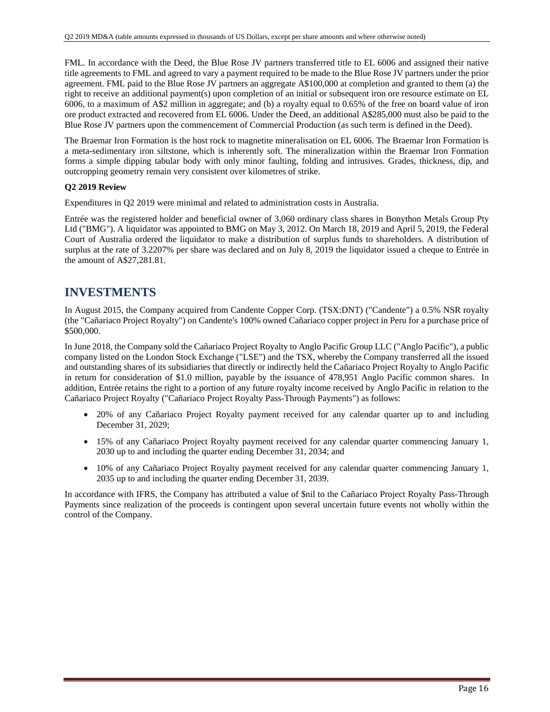FML. In accordance with the Deed, the Blue Rose JV partners transferred title to EL 6006 and assigned their native title agreements to FML and agreed to vary a payment required to be made to the Blue Rose JV partners under the prior agreement. FML paid to the Blue Rose JV partners an aggregate A\$100,000 at completion and granted to them (a) the right to receive an additional payment(s) upon completion of an initial or subsequent iron ore resource estimate on EL 6006, to a maximum of A\$2 million in aggregate; and (b) a royalty equal to 0.65% of the free on board value of iron ore product extracted and recovered from EL 6006. Under the Deed, an additional A\$285,000 must also be paid to the Blue Rose JV partners upon the commencement of Commercial Production (as such term is defined in the Deed).

The Braemar Iron Formation is the host rock to magnetite mineralisation on EL 6006. The Braemar Iron Formation is a meta-sedimentary iron siltstone, which is inherently soft. The mineralization within the Braemar Iron Formation forms a simple dipping tabular body with only minor faulting, folding and intrusives. Grades, thickness, dip, and outcropping geometry remain very consistent over kilometres of strike.

## **Q2 2019 Review**

Expenditures in Q2 2019 were minimal and related to administration costs in Australia.

Entrée was the registered holder and beneficial owner of 3,060 ordinary class shares in Bonython Metals Group Pty Ltd ("BMG"). A liquidator was appointed to BMG on May 3, 2012. On March 18, 2019 and April 5, 2019, the Federal Court of Australia ordered the liquidator to make a distribution of surplus funds to shareholders. A distribution of surplus at the rate of 3.2207% per share was declared and on July 8, 2019 the liquidator issued a cheque to Entrée in the amount of A\$27,281.81.

# **INVESTMENTS**

In August 2015, the Company acquired from Candente Copper Corp. (TSX:DNT) ("Candente") a 0.5% NSR royalty (the "Cañariaco Project Royalty") on Candente's 100% owned Cañariaco copper project in Peru for a purchase price of \$500,000.

In June 2018, the Company sold the Cañariaco Project Royalty to Anglo Pacific Group LLC ("Anglo Pacific"), a public company listed on the London Stock Exchange ("LSE") and the TSX, whereby the Company transferred all the issued and outstanding shares of its subsidiaries that directly or indirectly held the Cañariaco Project Royalty to Anglo Pacific in return for consideration of \$1.0 million, payable by the issuance of 478,951 Anglo Pacific common shares. In addition, Entrée retains the right to a portion of any future royalty income received by Anglo Pacific in relation to the Cañariaco Project Royalty ("Cañariaco Project Royalty Pass-Through Payments") as follows:

- 20% of any Cañariaco Project Royalty payment received for any calendar quarter up to and including December 31, 2029;
- 15% of any Cañariaco Project Royalty payment received for any calendar quarter commencing January 1, 2030 up to and including the quarter ending December 31, 2034; and
- 10% of any Cañariaco Project Royalty payment received for any calendar quarter commencing January 1, 2035 up to and including the quarter ending December 31, 2039.

In accordance with IFRS, the Company has attributed a value of \$nil to the Cañariaco Project Royalty Pass-Through Payments since realization of the proceeds is contingent upon several uncertain future events not wholly within the control of the Company.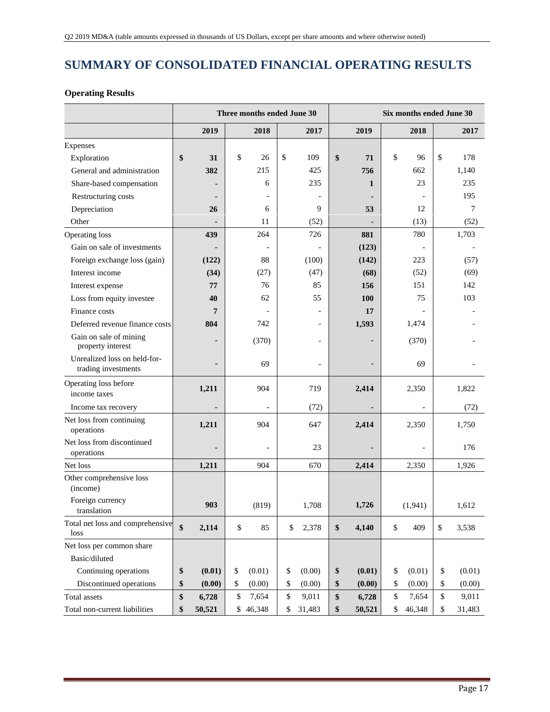# **SUMMARY OF CONSOLIDATED FINANCIAL OPERATING RESULTS**

## **Operating Results**

|                                                     |                            | Three months ended June 30 |              |              | Six months ended June 30 |              |
|-----------------------------------------------------|----------------------------|----------------------------|--------------|--------------|--------------------------|--------------|
|                                                     | 2019                       | 2018                       | 2017         | 2019         | 2018                     | 2017         |
| Expenses                                            |                            |                            |              |              |                          |              |
| Exploration                                         | \$<br>31                   | \$<br>26                   | \$<br>109    | \$<br>71     | \$<br>96                 | \$<br>178    |
| General and administration                          | 382                        | 215                        | 425          | 756          | 662                      | 1,140        |
| Share-based compensation                            |                            | 6                          | 235          | 1            | 23                       | 235          |
| Restructuring costs                                 |                            | $\overline{\phantom{a}}$   |              |              |                          | 195          |
| Depreciation                                        | 26                         | 6                          | 9            | 53           | 12                       | 7            |
| Other                                               |                            | 11                         | (52)         |              | (13)                     | (52)         |
| Operating loss                                      | 439                        | 264                        | 726          | 881          | 780                      | 1,703        |
| Gain on sale of investments                         |                            |                            |              | (123)        |                          |              |
| Foreign exchange loss (gain)                        | (122)                      | 88                         | (100)        | (142)        | 223                      | (57)         |
| Interest income                                     | (34)                       | (27)                       | (47)         | (68)         | (52)                     | (69)         |
| Interest expense                                    | 77                         | 76                         | 85           | 156          | 151                      | 142          |
| Loss from equity investee                           | 40                         | 62                         | 55           | 100          | 75                       | 103          |
| Finance costs                                       | 7                          |                            |              | 17           |                          |              |
| Deferred revenue finance costs                      | 804                        | 742                        |              | 1,593        | 1,474                    |              |
| Gain on sale of mining<br>property interest         |                            | (370)                      |              |              | (370)                    |              |
| Unrealized loss on held-for-<br>trading investments | ٠                          | 69                         |              |              | 69                       |              |
| Operating loss before<br>income taxes               | 1,211                      | 904                        | 719          | 2,414        | 2,350                    | 1,822        |
| Income tax recovery                                 | $\blacksquare$             | $\overline{\phantom{a}}$   | (72)         |              | $\overline{\phantom{a}}$ | (72)         |
| Net loss from continuing<br>operations              | 1,211                      | 904                        | 647          | 2,414        | 2,350                    | 1,750        |
| Net loss from discontinued<br>operations            | ٠                          | $\overline{a}$             | 23           |              |                          | 176          |
| Net loss                                            | 1,211                      | 904                        | 670          | 2,414        | 2,350                    | 1,926        |
| Other comprehensive loss<br>(income)                |                            |                            |              |              |                          |              |
| Foreign currency<br>translation                     | 903                        | (819)                      | 1,708        | 1,726        | (1,941)                  | 1,612        |
| Total net loss and comprehensive<br>loss            | $\boldsymbol{\$}$<br>2,114 | \$<br>85                   | \$<br>2,378  | \$<br>4,140  | \$<br>409                | \$<br>3,538  |
| Net loss per common share                           |                            |                            |              |              |                          |              |
| Basic/diluted                                       |                            |                            |              |              |                          |              |
| Continuing operations                               | \$<br>(0.01)               | \$<br>(0.01)               | (0.00)<br>\$ | \$<br>(0.01) | \$<br>(0.01)             | (0.01)<br>\$ |
| Discontinued operations                             | (0.00)<br>\$               | \$<br>(0.00)               | (0.00)<br>\$ | \$<br>(0.00) | \$<br>(0.00)             | \$<br>(0.00) |
| <b>Total assets</b>                                 | \$<br>6,728                | \$<br>7,654                | \$<br>9,011  | \$<br>6,728  | \$<br>7,654              | \$<br>9,011  |
| Total non-current liabilities                       | \$<br>50,521               | \$<br>46,348               | \$<br>31,483 | \$<br>50,521 | \$<br>46,348             | \$<br>31,483 |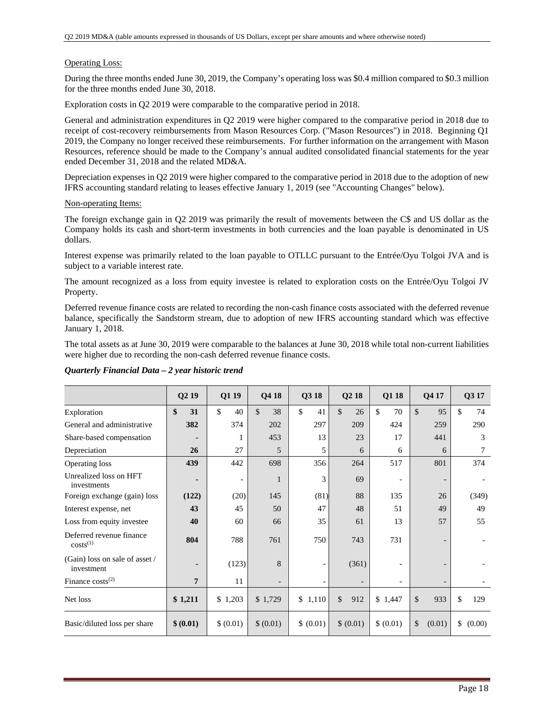### Operating Loss:

During the three months ended June 30, 2019, the Company's operating loss was \$0.4 million compared to \$0.3 million for the three months ended June 30, 2018.

Exploration costs in Q2 2019 were comparable to the comparative period in 2018.

General and administration expenditures in Q2 2019 were higher compared to the comparative period in 2018 due to receipt of cost-recovery reimbursements from Mason Resources Corp. ("Mason Resources") in 2018. Beginning Q1 2019, the Company no longer received these reimbursements. For further information on the arrangement with Mason Resources, reference should be made to the Company's annual audited consolidated financial statements for the year ended December 31, 2018 and the related MD&A.

Depreciation expenses in Q2 2019 were higher compared to the comparative period in 2018 due to the adoption of new IFRS accounting standard relating to leases effective January 1, 2019 (see "Accounting Changes" below).

### Non-operating Items:

The foreign exchange gain in Q2 2019 was primarily the result of movements between the C\$ and US dollar as the Company holds its cash and short-term investments in both currencies and the loan payable is denominated in US dollars.

Interest expense was primarily related to the loan payable to OTLLC pursuant to the Entrée/Oyu Tolgoi JVA and is subject to a variable interest rate.

The amount recognized as a loss from equity investee is related to exploration costs on the Entrée/Oyu Tolgoi JV Property.

Deferred revenue finance costs are related to recording the non-cash finance costs associated with the deferred revenue balance, specifically the Sandstorm stream, due to adoption of new IFRS accounting standard which was effective January 1, 2018.

The total assets as at June 30, 2019 were comparable to the balances at June 30, 2018 while total non-current liabilities were higher due to recording the non-cash deferred revenue finance costs.

|                                              | Q2 19     | Q1 19                    | Q4 18              | Q3 18       | Q2 18                    | Q1 18     | Q4 17               | Q3 17        |
|----------------------------------------------|-----------|--------------------------|--------------------|-------------|--------------------------|-----------|---------------------|--------------|
| Exploration                                  | \$<br>31  | \$<br>40                 | $\mathbb{S}$<br>38 | \$<br>41    | \$<br>26                 | \$<br>70  | $\mathcal{S}$<br>95 | \$<br>74     |
| General and administrative                   | 382       | 374                      | 202                | 297         | 209                      | 424       | 259                 | 290          |
| Share-based compensation                     |           |                          | 453                | 13          | 23                       | 17        | 441                 | 3            |
| Depreciation                                 | 26        | 27                       | 5                  | 5           | 6                        | 6         | 6                   | 7            |
| Operating loss                               | 439       | 442                      | 698                | 356         | 264                      | 517       | 801                 | 374          |
| Unrealized loss on HFT<br>investments        | ٠         | $\overline{\phantom{a}}$ | 1                  | 3           | 69                       |           |                     |              |
| Foreign exchange (gain) loss                 | (122)     | (20)                     | 145                | (81)        | 88                       | 135       | 26                  | (349)        |
| Interest expense, net                        | 43        | 45                       | 50                 | 47          | 48                       | 51        | 49                  | 49           |
| Loss from equity investee                    | 40        | 60                       | 66                 | 35          | 61                       | 13        | 57                  | 55           |
| Deferred revenue finance<br>$costs^{(1)}$    | 804       | 788                      | 761                | 750         | 743                      | 731       |                     |              |
| (Gain) loss on sale of asset /<br>investment |           | (123)                    | 8                  |             | (361)                    |           |                     |              |
| Finance $costs^{(2)}$                        | 7         | 11                       |                    |             | $\overline{\phantom{a}}$ |           |                     |              |
| Net loss                                     | \$1,211   | \$1,203                  | \$1,729            | \$<br>1,110 | $\mathbb{S}$<br>912      | \$1,447   | \$<br>933           | \$<br>129    |
| Basic/diluted loss per share                 | \$ (0.01) | \$ (0.01)                | \$ (0.01)          | \$ (0.01)   | \$ (0.01)                | \$ (0.01) | \$<br>(0.01)        | \$<br>(0.00) |

### *Quarterly Financial Data – 2 year historic trend*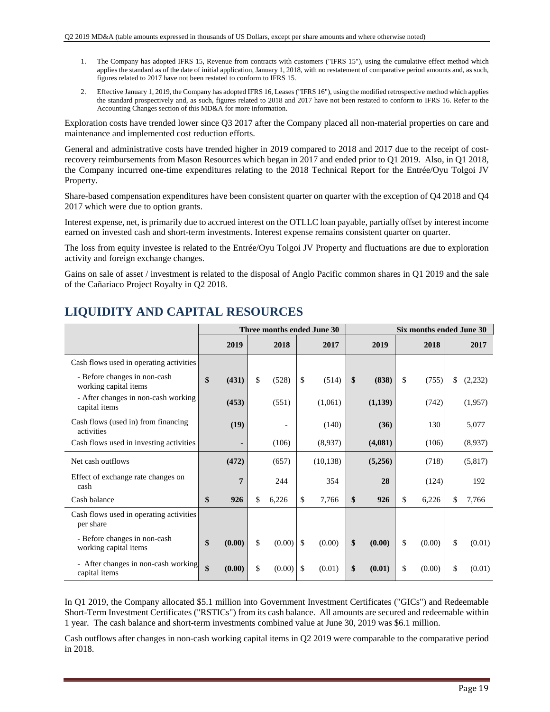- 1. The Company has adopted IFRS 15, Revenue from contracts with customers ("IFRS 15"), using the cumulative effect method which applies the standard as of the date of initial application, January 1, 2018, with no restatement of comparative period amounts and, as such, figures related to 2017 have not been restated to conform to IFRS 15.
- 2. Effective January 1, 2019, the Company has adopted IFRS 16, Leases ("IFRS 16"), using the modified retrospective method which applies the standard prospectively and, as such, figures related to 2018 and 2017 have not been restated to conform to IFRS 16. Refer to the Accounting Changes section of this MD&A for more information.

Exploration costs have trended lower since Q3 2017 after the Company placed all non-material properties on care and maintenance and implemented cost reduction efforts.

General and administrative costs have trended higher in 2019 compared to 2018 and 2017 due to the receipt of costrecovery reimbursements from Mason Resources which began in 2017 and ended prior to Q1 2019. Also, in Q1 2018, the Company incurred one-time expenditures relating to the 2018 Technical Report for the Entrée/Oyu Tolgoi JV Property.

Share-based compensation expenditures have been consistent quarter on quarter with the exception of Q4 2018 and Q4 2017 which were due to option grants.

Interest expense, net, is primarily due to accrued interest on the OTLLC loan payable, partially offset by interest income earned on invested cash and short-term investments. Interest expense remains consistent quarter on quarter.

The loss from equity investee is related to the Entrée/Oyu Tolgoi JV Property and fluctuations are due to exploration activity and foreign exchange changes.

Gains on sale of asset / investment is related to the disposal of Anglo Pacific common shares in Q1 2019 and the sale of the Cañariaco Project Royalty in Q2 2018.

|                                                       | Three months ended June 30 |    |        |    |           | Six months ended June 30 |         |    |        |    |          |
|-------------------------------------------------------|----------------------------|----|--------|----|-----------|--------------------------|---------|----|--------|----|----------|
|                                                       | 2019                       |    | 2018   |    | 2017      |                          | 2019    |    | 2018   |    | 2017     |
| Cash flows used in operating activities               |                            |    |        |    |           |                          |         |    |        |    |          |
| - Before changes in non-cash<br>working capital items | \$<br>(431)                | \$ | (528)  | \$ | (514)     | \$                       | (838)   | \$ | (755)  | \$ | (2, 232) |
| - After changes in non-cash working<br>capital items  | (453)                      |    | (551)  |    | (1,061)   |                          | (1,139) |    | (742)  |    | (1,957)  |
| Cash flows (used in) from financing<br>activities     | (19)                       |    |        |    | (140)     |                          | (36)    |    | 130    |    | 5,077    |
| Cash flows used in investing activities               |                            |    | (106)  |    | (8,937)   |                          | (4,081) |    | (106)  |    | (8,937)  |
| Net cash outflows                                     | (472)                      |    | (657)  |    | (10, 138) |                          | (5,256) |    | (718)  |    | (5,817)  |
| Effect of exchange rate changes on<br>cash            | 7                          |    | 244    |    | 354       |                          | 28      |    | (124)  |    | 192      |
| Cash balance                                          | \$<br>926                  | \$ | 6,226  | \$ | 7,766     | \$                       | 926     | \$ | 6,226  | \$ | 7,766    |
| Cash flows used in operating activities<br>per share  |                            |    |        |    |           |                          |         |    |        |    |          |
| - Before changes in non-cash<br>working capital items | \$<br>(0.00)               | \$ | (0.00) | \$ | (0.00)    | \$                       | (0.00)  | \$ | (0.00) | \$ | (0.01)   |
| - After changes in non-cash working<br>capital items  | \$<br>(0.00)               | \$ | (0.00) | \$ | (0.01)    | \$                       | (0.01)  | \$ | (0.00) | \$ | (0.01)   |

# **LIQUIDITY AND CAPITAL RESOURCES**

In Q1 2019, the Company allocated \$5.1 million into Government Investment Certificates ("GICs") and Redeemable Short-Term Investment Certificates ("RSTICs") from its cash balance. All amounts are secured and redeemable within 1 year. The cash balance and short-term investments combined value at June 30, 2019 was \$6.1 million.

Cash outflows after changes in non-cash working capital items in Q2 2019 were comparable to the comparative period in 2018.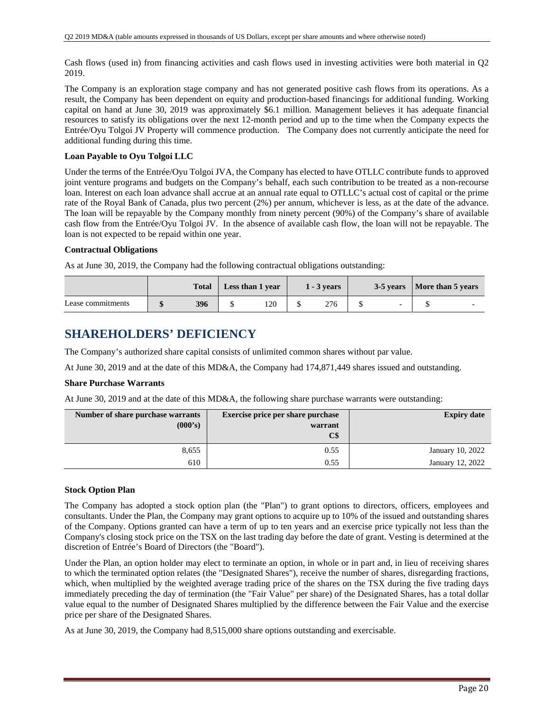Cash flows (used in) from financing activities and cash flows used in investing activities were both material in Q2 2019.

The Company is an exploration stage company and has not generated positive cash flows from its operations. As a result, the Company has been dependent on equity and production-based financings for additional funding. Working capital on hand at June 30, 2019 was approximately \$6.1 million. Management believes it has adequate financial resources to satisfy its obligations over the next 12-month period and up to the time when the Company expects the Entrée/Oyu Tolgoi JV Property will commence production. The Company does not currently anticipate the need for additional funding during this time.

## **Loan Payable to Oyu Tolgoi LLC**

Under the terms of the Entrée/Oyu Tolgoi JVA, the Company has elected to have OTLLC contribute funds to approved joint venture programs and budgets on the Company's behalf, each such contribution to be treated as a non-recourse loan. Interest on each loan advance shall accrue at an annual rate equal to OTLLC's actual cost of capital or the prime rate of the Royal Bank of Canada, plus two percent (2%) per annum, whichever is less, as at the date of the advance. The loan will be repayable by the Company monthly from ninety percent (90%) of the Company's share of available cash flow from the Entrée/Oyu Tolgoi JV. In the absence of available cash flow, the loan will not be repayable. The loan is not expected to be repaid within one year.

## **Contractual Obligations**

As at June 30, 2019, the Company had the following contractual obligations outstanding:

|                   | <b>Total</b> | Less than 1 year | $1 - 3$ years | $3-5$ vears | More than 5 years |
|-------------------|--------------|------------------|---------------|-------------|-------------------|
| Lease commitments | 396          | 120              | 276           |             |                   |

## **SHAREHOLDERS' DEFICIENCY**

The Company's authorized share capital consists of unlimited common shares without par value.

At June 30, 2019 and at the date of this MD&A, the Company had 174,871,449 shares issued and outstanding.

## **Share Purchase Warrants**

At June 30, 2019 and at the date of this MD&A, the following share purchase warrants were outstanding:

| Number of share purchase warrants | <b>Exercise price per share purchase</b> | <b>Expiry date</b> |
|-----------------------------------|------------------------------------------|--------------------|
| (000's)                           | warrant                                  |                    |
|                                   | C\$                                      |                    |
| 8,655                             | 0.55                                     | January 10, 2022   |
| 610                               | 0.55                                     | January 12, 2022   |

### **Stock Option Plan**

The Company has adopted a stock option plan (the "Plan") to grant options to directors, officers, employees and consultants. Under the Plan, the Company may grant options to acquire up to 10% of the issued and outstanding shares of the Company. Options granted can have a term of up to ten years and an exercise price typically not less than the Company's closing stock price on the TSX on the last trading day before the date of grant. Vesting is determined at the discretion of Entrée's Board of Directors (the "Board").

Under the Plan, an option holder may elect to terminate an option, in whole or in part and, in lieu of receiving shares to which the terminated option relates (the "Designated Shares"), receive the number of shares, disregarding fractions, which, when multiplied by the weighted average trading price of the shares on the TSX during the five trading days immediately preceding the day of termination (the "Fair Value" per share) of the Designated Shares, has a total dollar value equal to the number of Designated Shares multiplied by the difference between the Fair Value and the exercise price per share of the Designated Shares.

As at June 30, 2019, the Company had 8,515,000 share options outstanding and exercisable.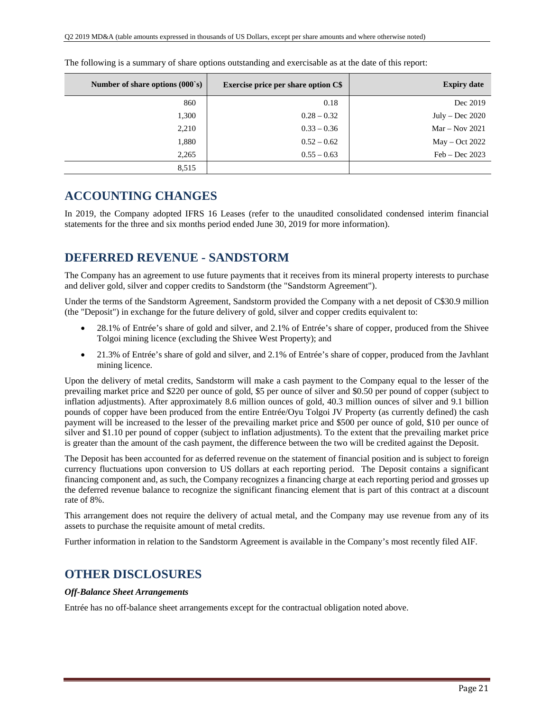| Number of share options $(000's)$ | <b>Exercise price per share option C\$</b> | <b>Expiry date</b> |
|-----------------------------------|--------------------------------------------|--------------------|
| 860                               | 0.18                                       | Dec 2019           |
| 1,300                             | $0.28 - 0.32$                              | July – Dec $2020$  |
| 2,210                             | $0.33 - 0.36$                              | $Mar - Nov 2021$   |
| 1,880                             | $0.52 - 0.62$                              | $May - Oct 2022$   |
| 2,265                             | $0.55 - 0.63$                              | $Feb - Dec 2023$   |
| 8,515                             |                                            |                    |

The following is a summary of share options outstanding and exercisable as at the date of this report:

## **ACCOUNTING CHANGES**

In 2019, the Company adopted IFRS 16 Leases (refer to the unaudited consolidated condensed interim financial statements for the three and six months period ended June 30, 2019 for more information).

## **DEFERRED REVENUE - SANDSTORM**

The Company has an agreement to use future payments that it receives from its mineral property interests to purchase and deliver gold, silver and copper credits to Sandstorm (the "Sandstorm Agreement").

Under the terms of the Sandstorm Agreement, Sandstorm provided the Company with a net deposit of C\$30.9 million (the "Deposit") in exchange for the future delivery of gold, silver and copper credits equivalent to:

- 28.1% of Entrée's share of gold and silver, and 2.1% of Entrée's share of copper, produced from the Shivee Tolgoi mining licence (excluding the Shivee West Property); and
- 21.3% of Entrée's share of gold and silver, and 2.1% of Entrée's share of copper, produced from the Javhlant mining licence.

Upon the delivery of metal credits, Sandstorm will make a cash payment to the Company equal to the lesser of the prevailing market price and \$220 per ounce of gold, \$5 per ounce of silver and \$0.50 per pound of copper (subject to inflation adjustments). After approximately 8.6 million ounces of gold, 40.3 million ounces of silver and 9.1 billion pounds of copper have been produced from the entire Entrée/Oyu Tolgoi JV Property (as currently defined) the cash payment will be increased to the lesser of the prevailing market price and \$500 per ounce of gold, \$10 per ounce of silver and \$1.10 per pound of copper (subject to inflation adjustments). To the extent that the prevailing market price is greater than the amount of the cash payment, the difference between the two will be credited against the Deposit.

The Deposit has been accounted for as deferred revenue on the statement of financial position and is subject to foreign currency fluctuations upon conversion to US dollars at each reporting period. The Deposit contains a significant financing component and, as such, the Company recognizes a financing charge at each reporting period and grosses up the deferred revenue balance to recognize the significant financing element that is part of this contract at a discount rate of 8%.

This arrangement does not require the delivery of actual metal, and the Company may use revenue from any of its assets to purchase the requisite amount of metal credits.

Further information in relation to the Sandstorm Agreement is available in the Company's most recently filed AIF.

# **OTHER DISCLOSURES**

## *Off-Balance Sheet Arrangements*

Entrée has no off-balance sheet arrangements except for the contractual obligation noted above.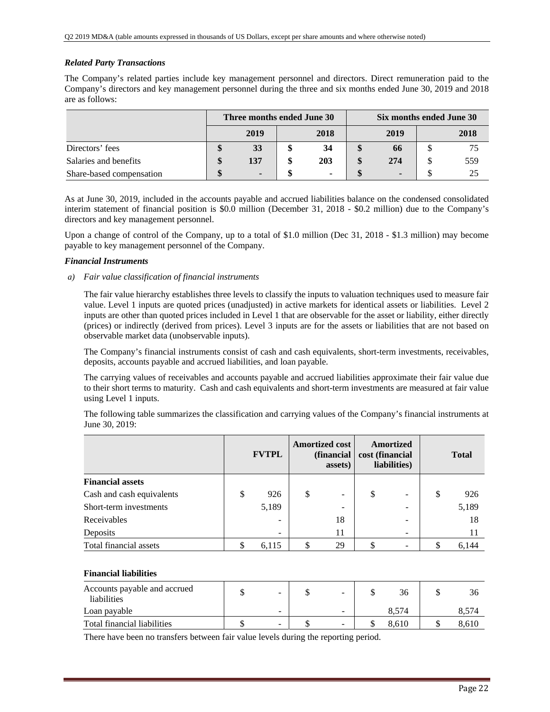## *Related Party Transactions*

The Company's related parties include key management personnel and directors. Direct remuneration paid to the Company's directors and key management personnel during the three and six months ended June 30, 2019 and 2018 are as follows:

|                          | Three months ended June 30 |      | Six months ended June 30 |      |   |      |
|--------------------------|----------------------------|------|--------------------------|------|---|------|
|                          | 2019                       | 2018 |                          | 2019 |   | 2018 |
| Directors' fees          | 33                         | 34   |                          | 66   |   | 75   |
| Salaries and benefits    | \$<br>137                  | 203  |                          | 274  | S | 559  |
| Share-based compensation | $\blacksquare$             | ۰    |                          |      |   | 25   |

As at June 30, 2019, included in the accounts payable and accrued liabilities balance on the condensed consolidated interim statement of financial position is \$0.0 million (December 31, 2018 - \$0.2 million) due to the Company's directors and key management personnel.

Upon a change of control of the Company, up to a total of \$1.0 million (Dec 31, 2018 - \$1.3 million) may become payable to key management personnel of the Company.

### *Financial Instruments*

*a) Fair value classification of financial instruments* 

The fair value hierarchy establishes three levels to classify the inputs to valuation techniques used to measure fair value. Level 1 inputs are quoted prices (unadjusted) in active markets for identical assets or liabilities. Level 2 inputs are other than quoted prices included in Level 1 that are observable for the asset or liability, either directly (prices) or indirectly (derived from prices). Level 3 inputs are for the assets or liabilities that are not based on observable market data (unobservable inputs).

The Company's financial instruments consist of cash and cash equivalents, short-term investments, receivables, deposits, accounts payable and accrued liabilities, and loan payable.

The carrying values of receivables and accounts payable and accrued liabilities approximate their fair value due to their short terms to maturity. Cash and cash equivalents and short-term investments are measured at fair value using Level 1 inputs.

The following table summarizes the classification and carrying values of the Company's financial instruments at June 30, 2019:

|                           | <b>FVTPL</b>             | <b>Amortized cost</b><br>(financial<br>assets) |    | <b>Amortized</b><br>cost (financial<br>liabilities) |   | <b>Total</b> |       |
|---------------------------|--------------------------|------------------------------------------------|----|-----------------------------------------------------|---|--------------|-------|
| <b>Financial assets</b>   |                          |                                                |    |                                                     |   |              |       |
| Cash and cash equivalents | \$<br>926                | \$                                             | -  | \$                                                  |   | \$           | 926   |
| Short-term investments    | 5,189                    |                                                | -  |                                                     |   |              | 5,189 |
| Receivables               | $\overline{\phantom{0}}$ |                                                | 18 |                                                     | ۰ |              | 18    |
| Deposits                  | $\qquad \qquad$          |                                                | 11 |                                                     |   |              | 11    |
| Total financial assets    | 6.115                    |                                                | 29 |                                                     |   |              | 6.144 |

### **Financial liabilities**

| Accounts payable and accrued<br>liabilities | -                        | -        | 36    |       |
|---------------------------------------------|--------------------------|----------|-------|-------|
| Loan payable                                | $\overline{\phantom{a}}$ | $\sim$   | 8.574 |       |
| Total financial liabilities                 | $\overline{\phantom{0}}$ | $\equiv$ | 8.610 | 8.610 |

There have been no transfers between fair value levels during the reporting period.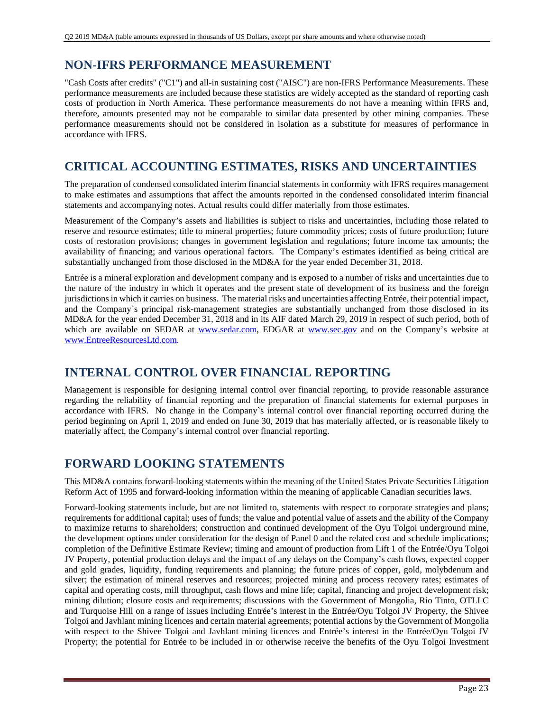# **NON-IFRS PERFORMANCE MEASUREMENT**

"Cash Costs after credits" ("C1") and all-in sustaining cost ("AISC") are non-IFRS Performance Measurements. These performance measurements are included because these statistics are widely accepted as the standard of reporting cash costs of production in North America. These performance measurements do not have a meaning within IFRS and, therefore, amounts presented may not be comparable to similar data presented by other mining companies. These performance measurements should not be considered in isolation as a substitute for measures of performance in accordance with IFRS.

# **CRITICAL ACCOUNTING ESTIMATES, RISKS AND UNCERTAINTIES**

The preparation of condensed consolidated interim financial statements in conformity with IFRS requires management to make estimates and assumptions that affect the amounts reported in the condensed consolidated interim financial statements and accompanying notes. Actual results could differ materially from those estimates.

Measurement of the Company's assets and liabilities is subject to risks and uncertainties, including those related to reserve and resource estimates; title to mineral properties; future commodity prices; costs of future production; future costs of restoration provisions; changes in government legislation and regulations; future income tax amounts; the availability of financing; and various operational factors. The Company's estimates identified as being critical are substantially unchanged from those disclosed in the MD&A for the year ended December 31, 2018.

Entrée is a mineral exploration and development company and is exposed to a number of risks and uncertainties due to the nature of the industry in which it operates and the present state of development of its business and the foreign jurisdictions in which it carries on business. The material risks and uncertainties affecting Entrée, their potential impact, and the Company`s principal risk-management strategies are substantially unchanged from those disclosed in its MD&A for the year ended December 31, 2018 and in its AIF dated March 29, 2019 in respect of such period, both of which are available on SEDAR at www.sedar.com, EDGAR at www.sec.gov and on the Company's website at www.EntreeResourcesLtd.com.

# **INTERNAL CONTROL OVER FINANCIAL REPORTING**

Management is responsible for designing internal control over financial reporting, to provide reasonable assurance regarding the reliability of financial reporting and the preparation of financial statements for external purposes in accordance with IFRS. No change in the Company`s internal control over financial reporting occurred during the period beginning on April 1, 2019 and ended on June 30, 2019 that has materially affected, or is reasonable likely to materially affect, the Company's internal control over financial reporting.

# **FORWARD LOOKING STATEMENTS**

This MD&A contains forward-looking statements within the meaning of the United States Private Securities Litigation Reform Act of 1995 and forward-looking information within the meaning of applicable Canadian securities laws.

Forward-looking statements include, but are not limited to, statements with respect to corporate strategies and plans; requirements for additional capital; uses of funds; the value and potential value of assets and the ability of the Company to maximize returns to shareholders; construction and continued development of the Oyu Tolgoi underground mine, the development options under consideration for the design of Panel 0 and the related cost and schedule implications; completion of the Definitive Estimate Review; timing and amount of production from Lift 1 of the Entrée/Oyu Tolgoi JV Property, potential production delays and the impact of any delays on the Company's cash flows, expected copper and gold grades, liquidity, funding requirements and planning; the future prices of copper, gold, molybdenum and silver; the estimation of mineral reserves and resources; projected mining and process recovery rates; estimates of capital and operating costs, mill throughput, cash flows and mine life; capital, financing and project development risk; mining dilution; closure costs and requirements; discussions with the Government of Mongolia, Rio Tinto, OTLLC and Turquoise Hill on a range of issues including Entrée's interest in the Entrée/Oyu Tolgoi JV Property, the Shivee Tolgoi and Javhlant mining licences and certain material agreements; potential actions by the Government of Mongolia with respect to the Shivee Tolgoi and Javhlant mining licences and Entrée's interest in the Entrée/Oyu Tolgoi JV Property; the potential for Entrée to be included in or otherwise receive the benefits of the Oyu Tolgoi Investment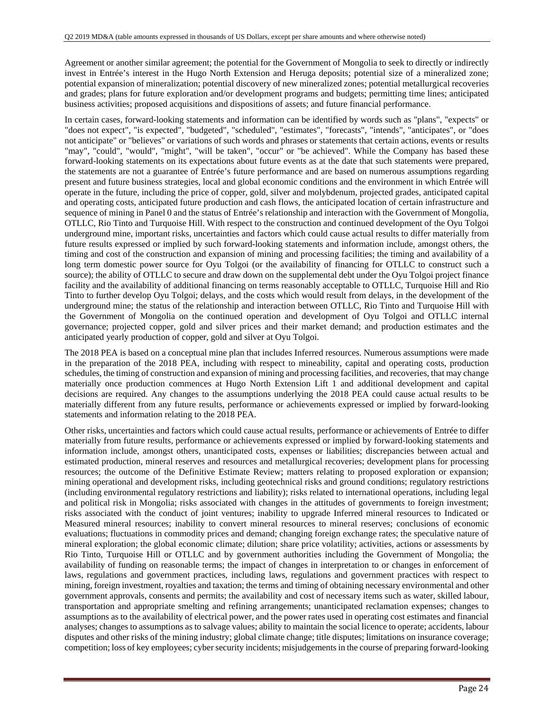Agreement or another similar agreement; the potential for the Government of Mongolia to seek to directly or indirectly invest in Entrée's interest in the Hugo North Extension and Heruga deposits; potential size of a mineralized zone; potential expansion of mineralization; potential discovery of new mineralized zones; potential metallurgical recoveries and grades; plans for future exploration and/or development programs and budgets; permitting time lines; anticipated business activities; proposed acquisitions and dispositions of assets; and future financial performance.

In certain cases, forward-looking statements and information can be identified by words such as "plans", "expects" or "does not expect", "is expected", "budgeted", "scheduled", "estimates", "forecasts", "intends", "anticipates", or "does not anticipate" or "believes" or variations of such words and phrases or statements that certain actions, events or results "may", "could", "would", "might", "will be taken", "occur" or "be achieved". While the Company has based these forward-looking statements on its expectations about future events as at the date that such statements were prepared, the statements are not a guarantee of Entrée's future performance and are based on numerous assumptions regarding present and future business strategies, local and global economic conditions and the environment in which Entrée will operate in the future, including the price of copper, gold, silver and molybdenum, projected grades, anticipated capital and operating costs, anticipated future production and cash flows, the anticipated location of certain infrastructure and sequence of mining in Panel 0 and the status of Entrée's relationship and interaction with the Government of Mongolia, OTLLC, Rio Tinto and Turquoise Hill. With respect to the construction and continued development of the Oyu Tolgoi underground mine, important risks, uncertainties and factors which could cause actual results to differ materially from future results expressed or implied by such forward-looking statements and information include, amongst others, the timing and cost of the construction and expansion of mining and processing facilities; the timing and availability of a long term domestic power source for Oyu Tolgoi (or the availability of financing for OTLLC to construct such a source); the ability of OTLLC to secure and draw down on the supplemental debt under the Oyu Tolgoi project finance facility and the availability of additional financing on terms reasonably acceptable to OTLLC, Turquoise Hill and Rio Tinto to further develop Oyu Tolgoi; delays, and the costs which would result from delays, in the development of the underground mine; the status of the relationship and interaction between OTLLC, Rio Tinto and Turquoise Hill with the Government of Mongolia on the continued operation and development of Oyu Tolgoi and OTLLC internal governance; projected copper, gold and silver prices and their market demand; and production estimates and the anticipated yearly production of copper, gold and silver at Oyu Tolgoi.

The 2018 PEA is based on a conceptual mine plan that includes Inferred resources. Numerous assumptions were made in the preparation of the 2018 PEA, including with respect to mineability, capital and operating costs, production schedules, the timing of construction and expansion of mining and processing facilities, and recoveries, that may change materially once production commences at Hugo North Extension Lift 1 and additional development and capital decisions are required. Any changes to the assumptions underlying the 2018 PEA could cause actual results to be materially different from any future results, performance or achievements expressed or implied by forward-looking statements and information relating to the 2018 PEA.

Other risks, uncertainties and factors which could cause actual results, performance or achievements of Entrée to differ materially from future results, performance or achievements expressed or implied by forward-looking statements and information include, amongst others, unanticipated costs, expenses or liabilities; discrepancies between actual and estimated production, mineral reserves and resources and metallurgical recoveries; development plans for processing resources; the outcome of the Definitive Estimate Review; matters relating to proposed exploration or expansion; mining operational and development risks, including geotechnical risks and ground conditions; regulatory restrictions (including environmental regulatory restrictions and liability); risks related to international operations, including legal and political risk in Mongolia; risks associated with changes in the attitudes of governments to foreign investment; risks associated with the conduct of joint ventures; inability to upgrade Inferred mineral resources to Indicated or Measured mineral resources; inability to convert mineral resources to mineral reserves; conclusions of economic evaluations; fluctuations in commodity prices and demand; changing foreign exchange rates; the speculative nature of mineral exploration; the global economic climate; dilution; share price volatility; activities, actions or assessments by Rio Tinto, Turquoise Hill or OTLLC and by government authorities including the Government of Mongolia; the availability of funding on reasonable terms; the impact of changes in interpretation to or changes in enforcement of laws, regulations and government practices, including laws, regulations and government practices with respect to mining, foreign investment, royalties and taxation; the terms and timing of obtaining necessary environmental and other government approvals, consents and permits; the availability and cost of necessary items such as water, skilled labour, transportation and appropriate smelting and refining arrangements; unanticipated reclamation expenses; changes to assumptions as to the availability of electrical power, and the power rates used in operating cost estimates and financial analyses; changes to assumptions as to salvage values; ability to maintain the social licence to operate; accidents, labour disputes and other risks of the mining industry; global climate change; title disputes; limitations on insurance coverage; competition; loss of key employees; cyber security incidents; misjudgements in the course of preparing forward-looking